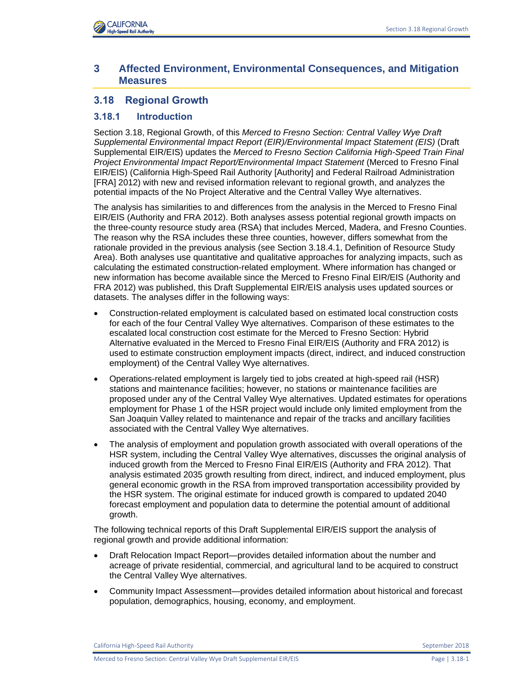

# **3 Affected Environment, Environmental Consequences, and Mitigation Measures**

# **3.18 Regional Growth**

## **3.18.1 Introduction**

Section 3.18, Regional Growth, of this *Merced to Fresno Section: Central Valley Wye Draft Supplemental Environmental Impact Report (EIR)/Environmental Impact Statement (EIS)* (Draft Supplemental EIR/EIS) updates the *Merced to Fresno Section California High-Speed Train Final Project Environmental Impact Report/Environmental Impact Statement* (Merced to Fresno Final EIR/EIS) (California High-Speed Rail Authority [Authority] and Federal Railroad Administration [FRA] 2012) with new and revised information relevant to regional growth, and analyzes the potential impacts of the No Project Alterative and the Central Valley Wye alternatives.

The analysis has similarities to and differences from the analysis in the Merced to Fresno Final EIR/EIS (Authority and FRA 2012). Both analyses assess potential regional growth impacts on the three-county resource study area (RSA) that includes Merced, Madera, and Fresno Counties. The reason why the RSA includes these three counties, however, differs somewhat from the rationale provided in the previous analysis (see Section 3.18.4.1, Definition of Resource Study Area). Both analyses use quantitative and qualitative approaches for analyzing impacts, such as calculating the estimated construction-related employment. Where information has changed or new information has become available since the Merced to Fresno Final EIR/EIS (Authority and FRA 2012) was published, this Draft Supplemental EIR/EIS analysis uses updated sources or datasets. The analyses differ in the following ways:

- Construction-related employment is calculated based on estimated local construction costs for each of the four Central Valley Wye alternatives. Comparison of these estimates to the escalated local construction cost estimate for the Merced to Fresno Section: Hybrid Alternative evaluated in the Merced to Fresno Final EIR/EIS (Authority and FRA 2012) is used to estimate construction employment impacts (direct, indirect, and induced construction employment) of the Central Valley Wye alternatives.
- Operations-related employment is largely tied to jobs created at high-speed rail (HSR) stations and maintenance facilities; however, no stations or maintenance facilities are proposed under any of the Central Valley Wye alternatives. Updated estimates for operations employment for Phase 1 of the HSR project would include only limited employment from the San Joaquin Valley related to maintenance and repair of the tracks and ancillary facilities associated with the Central Valley Wye alternatives.
- The analysis of employment and population growth associated with overall operations of the HSR system, including the Central Valley Wye alternatives, discusses the original analysis of induced growth from the Merced to Fresno Final EIR/EIS (Authority and FRA 2012). That analysis estimated 2035 growth resulting from direct, indirect, and induced employment, plus general economic growth in the RSA from improved transportation accessibility provided by the HSR system. The original estimate for induced growth is compared to updated 2040 forecast employment and population data to determine the potential amount of additional growth.

The following technical reports of this Draft Supplemental EIR/EIS support the analysis of regional growth and provide additional information:

- Draft Relocation Impact Report—provides detailed information about the number and acreage of private residential, commercial, and agricultural land to be acquired to construct the Central Valley Wye alternatives.
- Community Impact Assessment—provides detailed information about historical and forecast population, demographics, housing, economy, and employment.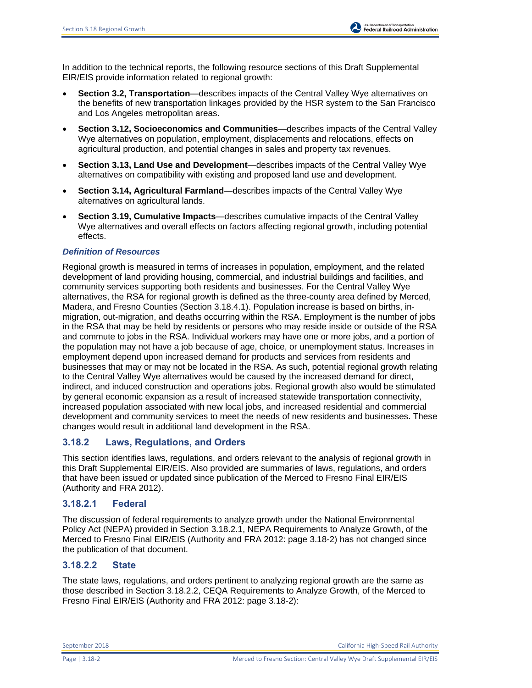In addition to the technical reports, the following resource sections of this Draft Supplemental EIR/EIS provide information related to regional growth:

- **Section 3.2, Transportation**—describes impacts of the Central Valley Wye alternatives on the benefits of new transportation linkages provided by the HSR system to the San Francisco and Los Angeles metropolitan areas.
- **Section 3.12, Socioeconomics and Communities**—describes impacts of the Central Valley Wye alternatives on population, employment, displacements and relocations, effects on agricultural production, and potential changes in sales and property tax revenues.
- **Section 3.13, Land Use and Development**—describes impacts of the Central Valley Wye alternatives on compatibility with existing and proposed land use and development.
- **Section 3.14, Agricultural Farmland**—describes impacts of the Central Valley Wye alternatives on agricultural lands.
- **Section 3.19, Cumulative Impacts**—describes cumulative impacts of the Central Valley Wye alternatives and overall effects on factors affecting regional growth, including potential effects.

### *Definition of Resources*

Regional growth is measured in terms of increases in population, employment, and the related development of land providing housing, commercial, and industrial buildings and facilities, and community services supporting both residents and businesses. For the Central Valley Wye alternatives, the RSA for regional growth is defined as the three-county area defined by Merced, Madera, and Fresno Counties (Section 3.18.4.1). Population increase is based on births, inmigration, out-migration, and deaths occurring within the RSA. Employment is the number of jobs in the RSA that may be held by residents or persons who may reside inside or outside of the RSA and commute to jobs in the RSA. Individual workers may have one or more jobs, and a portion of the population may not have a job because of age, choice, or unemployment status. Increases in employment depend upon increased demand for products and services from residents and businesses that may or may not be located in the RSA. As such, potential regional growth relating to the Central Valley Wye alternatives would be caused by the increased demand for direct, indirect, and induced construction and operations jobs. Regional growth also would be stimulated by general economic expansion as a result of increased statewide transportation connectivity, increased population associated with new local jobs, and increased residential and commercial development and community services to meet the needs of new residents and businesses. These changes would result in additional land development in the RSA.

## **3.18.2 Laws, Regulations, and Orders**

This section identifies laws, regulations, and orders relevant to the analysis of regional growth in this Draft Supplemental EIR/EIS. Also provided are summaries of laws, regulations, and orders that have been issued or updated since publication of the Merced to Fresno Final EIR/EIS (Authority and FRA 2012).

## **3.18.2.1 Federal**

The discussion of federal requirements to analyze growth under the National Environmental Policy Act (NEPA) provided in Section 3.18.2.1, NEPA Requirements to Analyze Growth, of the Merced to Fresno Final EIR/EIS (Authority and FRA 2012: page 3.18-2) has not changed since the publication of that document.

## **3.18.2.2 State**

The state laws, regulations, and orders pertinent to analyzing regional growth are the same as those described in Section 3.18.2.2, CEQA Requirements to Analyze Growth, of the Merced to Fresno Final EIR/EIS (Authority and FRA 2012: page 3.18-2):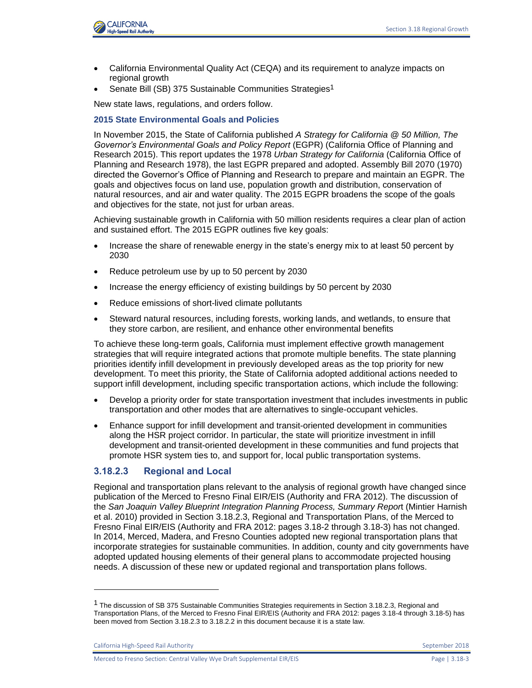

- California Environmental Quality Act (CEQA) and its requirement to analyze impacts on regional growth
- Senate Bill (SB) 375 Sustainable Communities Strategies<sup>1</sup>

New state laws, regulations, and orders follow.

#### **2015 State Environmental Goals and Policies**

In November 2015, the State of California published *A Strategy for California @ 50 Million, The Governor's Environmental Goals and Policy Report* (EGPR) (California Office of Planning and Research 2015). This report updates the 1978 *Urban Strategy for California* (California Office of Planning and Research 1978), the last EGPR prepared and adopted. Assembly Bill 2070 (1970) directed the Governor's Office of Planning and Research to prepare and maintain an EGPR. The goals and objectives focus on land use, population growth and distribution, conservation of natural resources, and air and water quality. The 2015 EGPR broadens the scope of the goals and objectives for the state, not just for urban areas.

Achieving sustainable growth in California with 50 million residents requires a clear plan of action and sustained effort. The 2015 EGPR outlines five key goals:

- Increase the share of renewable energy in the state's energy mix to at least 50 percent by 2030
- Reduce petroleum use by up to 50 percent by 2030
- Increase the energy efficiency of existing buildings by 50 percent by 2030
- Reduce emissions of short-lived climate pollutants
- Steward natural resources, including forests, working lands, and wetlands, to ensure that they store carbon, are resilient, and enhance other environmental benefits

To achieve these long-term goals, California must implement effective growth management strategies that will require integrated actions that promote multiple benefits. The state planning priorities identify infill development in previously developed areas as the top priority for new development. To meet this priority, the State of California adopted additional actions needed to support infill development, including specific transportation actions, which include the following:

- Develop a priority order for state transportation investment that includes investments in public transportation and other modes that are alternatives to single-occupant vehicles.
- Enhance support for infill development and transit-oriented development in communities along the HSR project corridor. In particular, the state will prioritize investment in infill development and transit-oriented development in these communities and fund projects that promote HSR system ties to, and support for, local public transportation systems.

### **3.18.2.3 Regional and Local**

Regional and transportation plans relevant to the analysis of regional growth have changed since publication of the Merced to Fresno Final EIR/EIS (Authority and FRA 2012). The discussion of the *San Joaquin Valley Blueprint Integration Planning Process, Summary Repor*t (Mintier Harnish et al. 2010) provided in Section 3.18.2.3, Regional and Transportation Plans, of the Merced to Fresno Final EIR/EIS (Authority and FRA 2012: pages 3.18-2 through 3.18-3) has not changed. In 2014, Merced, Madera, and Fresno Counties adopted new regional transportation plans that incorporate strategies for sustainable communities. In addition, county and city governments have adopted updated housing elements of their general plans to accommodate projected housing needs. A discussion of these new or updated regional and transportation plans follows.

l

<sup>&</sup>lt;sup>1</sup> The discussion of SB 375 Sustainable Communities Strategies requirements in Section 3.18.2.3, Regional and Transportation Plans, of the Merced to Fresno Final EIR/EIS (Authority and FRA 2012: pages 3.18-4 through 3.18-5) has been moved from Section 3.18.2.3 to 3.18.2.2 in this document because it is a state law.

California High-Speed Rail Authority September 2018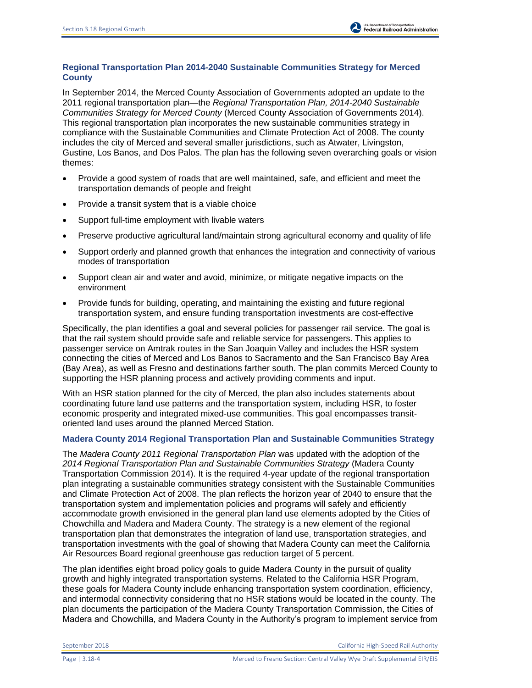## **Regional Transportation Plan 2014-2040 Sustainable Communities Strategy for Merced County**

In September 2014, the Merced County Association of Governments adopted an update to the 2011 regional transportation plan—the *Regional Transportation Plan, 2014-2040 Sustainable Communities Strategy for Merced County* (Merced County Association of Governments 2014). This regional transportation plan incorporates the new sustainable communities strategy in compliance with the Sustainable Communities and Climate Protection Act of 2008. The county includes the city of Merced and several smaller jurisdictions, such as Atwater, Livingston, Gustine, Los Banos, and Dos Palos. The plan has the following seven overarching goals or vision themes:

- Provide a good system of roads that are well maintained, safe, and efficient and meet the transportation demands of people and freight
- Provide a transit system that is a viable choice
- Support full-time employment with livable waters
- Preserve productive agricultural land/maintain strong agricultural economy and quality of life
- Support orderly and planned growth that enhances the integration and connectivity of various modes of transportation
- Support clean air and water and avoid, minimize, or mitigate negative impacts on the environment
- Provide funds for building, operating, and maintaining the existing and future regional transportation system, and ensure funding transportation investments are cost-effective

Specifically, the plan identifies a goal and several policies for passenger rail service. The goal is that the rail system should provide safe and reliable service for passengers. This applies to passenger service on Amtrak routes in the San Joaquin Valley and includes the HSR system connecting the cities of Merced and Los Banos to Sacramento and the San Francisco Bay Area (Bay Area), as well as Fresno and destinations farther south. The plan commits Merced County to supporting the HSR planning process and actively providing comments and input.

With an HSR station planned for the city of Merced, the plan also includes statements about coordinating future land use patterns and the transportation system, including HSR, to foster economic prosperity and integrated mixed-use communities. This goal encompasses transitoriented land uses around the planned Merced Station.

### **Madera County 2014 Regional Transportation Plan and Sustainable Communities Strategy**

The *Madera County 2011 Regional Transportation Plan* was updated with the adoption of the *2014 Regional Transportation Plan and Sustainable Communities Strategy* (Madera County Transportation Commission 2014). It is the required 4-year update of the regional transportation plan integrating a sustainable communities strategy consistent with the Sustainable Communities and Climate Protection Act of 2008. The plan reflects the horizon year of 2040 to ensure that the transportation system and implementation policies and programs will safely and efficiently accommodate growth envisioned in the general plan land use elements adopted by the Cities of Chowchilla and Madera and Madera County. The strategy is a new element of the regional transportation plan that demonstrates the integration of land use, transportation strategies, and transportation investments with the goal of showing that Madera County can meet the California Air Resources Board regional greenhouse gas reduction target of 5 percent.

The plan identifies eight broad policy goals to guide Madera County in the pursuit of quality growth and highly integrated transportation systems. Related to the California HSR Program, these goals for Madera County include enhancing transportation system coordination, efficiency, and intermodal connectivity considering that no HSR stations would be located in the county. The plan documents the participation of the Madera County Transportation Commission, the Cities of Madera and Chowchilla, and Madera County in the Authority's program to implement service from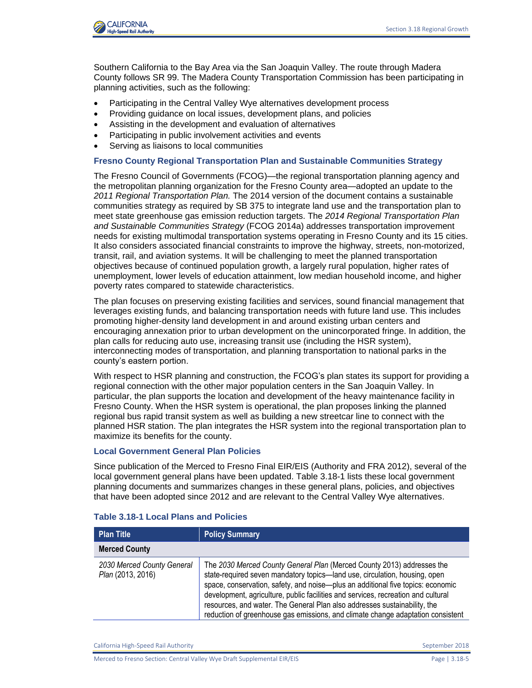

Southern California to the Bay Area via the San Joaquin Valley. The route through Madera County follows SR 99. The Madera County Transportation Commission has been participating in planning activities, such as the following:

- Participating in the Central Valley Wye alternatives development process
- Providing guidance on local issues, development plans, and policies
- Assisting in the development and evaluation of alternatives
- Participating in public involvement activities and events
- Serving as liaisons to local communities

#### **Fresno County Regional Transportation Plan and Sustainable Communities Strategy**

The Fresno Council of Governments (FCOG)—the regional transportation planning agency and the metropolitan planning organization for the Fresno County area—adopted an update to the *2011 Regional Transportation Plan.* The 2014 version of the document contains a sustainable communities strategy as required by SB 375 to integrate land use and the transportation plan to meet state greenhouse gas emission reduction targets. The *2014 Regional Transportation Plan and Sustainable Communities Strategy* (FCOG 2014a) addresses transportation improvement needs for existing multimodal transportation systems operating in Fresno County and its 15 cities. It also considers associated financial constraints to improve the highway, streets, non-motorized, transit, rail, and aviation systems. It will be challenging to meet the planned transportation objectives because of continued population growth, a largely rural population, higher rates of unemployment, lower levels of education attainment, low median household income, and higher poverty rates compared to statewide characteristics.

The plan focuses on preserving existing facilities and services, sound financial management that leverages existing funds, and balancing transportation needs with future land use. This includes promoting higher-density land development in and around existing urban centers and encouraging annexation prior to urban development on the unincorporated fringe. In addition, the plan calls for reducing auto use, increasing transit use (including the HSR system), interconnecting modes of transportation, and planning transportation to national parks in the county's eastern portion.

With respect to HSR planning and construction, the FCOG's plan states its support for providing a regional connection with the other major population centers in the San Joaquin Valley. In particular, the plan supports the location and development of the heavy maintenance facility in Fresno County. When the HSR system is operational, the plan proposes linking the planned regional bus rapid transit system as well as building a new streetcar line to connect with the planned HSR station. The plan integrates the HSR system into the regional transportation plan to maximize its benefits for the county.

#### **Local Government General Plan Policies**

Since publication of the Merced to Fresno Final EIR/EIS (Authority and FRA 2012), several of the local government general plans have been updated. Table 3.18-1 lists these local government planning documents and summarizes changes in these general plans, policies, and objectives that have been adopted since 2012 and are relevant to the Central Valley Wye alternatives.

| <b>Plan Title</b>                               | <b>Policy Summary</b>                                                                                                                                                                                                                                                                                                                                                                                                                                                                        |
|-------------------------------------------------|----------------------------------------------------------------------------------------------------------------------------------------------------------------------------------------------------------------------------------------------------------------------------------------------------------------------------------------------------------------------------------------------------------------------------------------------------------------------------------------------|
| <b>Merced County</b>                            |                                                                                                                                                                                                                                                                                                                                                                                                                                                                                              |
| 2030 Merced County General<br>Plan (2013, 2016) | The 2030 Merced County General Plan (Merced County 2013) addresses the<br>state-required seven mandatory topics-land use, circulation, housing, open<br>space, conservation, safety, and noise-plus an additional five topics: economic<br>development, agriculture, public facilities and services, recreation and cultural<br>resources, and water. The General Plan also addresses sustainability, the<br>reduction of greenhouse gas emissions, and climate change adaptation consistent |

#### **Table 3.18-1 Local Plans and Policies**

California High-Speed Rail Authority **September 2018** September 2018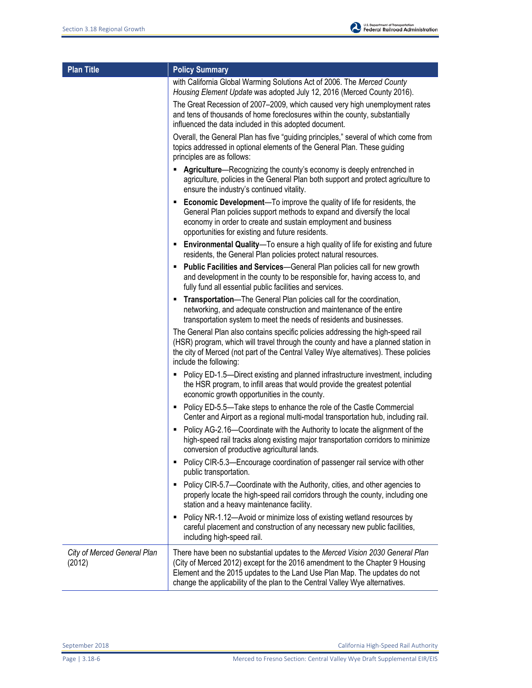| <b>Plan Title</b>                     | <b>Policy Summary</b>                                                                                                                                                                                                                                                                                                      |  |  |  |  |
|---------------------------------------|----------------------------------------------------------------------------------------------------------------------------------------------------------------------------------------------------------------------------------------------------------------------------------------------------------------------------|--|--|--|--|
|                                       | with California Global Warming Solutions Act of 2006. The Merced County<br>Housing Element Update was adopted July 12, 2016 (Merced County 2016).                                                                                                                                                                          |  |  |  |  |
|                                       | The Great Recession of 2007-2009, which caused very high unemployment rates<br>and tens of thousands of home foreclosures within the county, substantially<br>influenced the data included in this adopted document.                                                                                                       |  |  |  |  |
|                                       | Overall, the General Plan has five "guiding principles," several of which come from<br>topics addressed in optional elements of the General Plan. These guiding<br>principles are as follows:                                                                                                                              |  |  |  |  |
|                                       | Agriculture—Recognizing the county's economy is deeply entrenched in<br>٠<br>agriculture, policies in the General Plan both support and protect agriculture to<br>ensure the industry's continued vitality.                                                                                                                |  |  |  |  |
|                                       | <b>Economic Development</b> —To improve the quality of life for residents, the<br>General Plan policies support methods to expand and diversify the local<br>economy in order to create and sustain employment and business<br>opportunities for existing and future residents.                                            |  |  |  |  |
|                                       | <b>Environmental Quality</b> —To ensure a high quality of life for existing and future<br>residents, the General Plan policies protect natural resources.                                                                                                                                                                  |  |  |  |  |
|                                       | Public Facilities and Services-General Plan policies call for new growth<br>٠<br>and development in the county to be responsible for, having access to, and<br>fully fund all essential public facilities and services.                                                                                                    |  |  |  |  |
|                                       | Transportation-The General Plan policies call for the coordination,<br>٠<br>networking, and adequate construction and maintenance of the entire<br>transportation system to meet the needs of residents and businesses.                                                                                                    |  |  |  |  |
|                                       | The General Plan also contains specific policies addressing the high-speed rail<br>(HSR) program, which will travel through the county and have a planned station in<br>the city of Merced (not part of the Central Valley Wye alternatives). These policies<br>include the following:                                     |  |  |  |  |
|                                       | • Policy ED-1.5—Direct existing and planned infrastructure investment, including<br>the HSR program, to infill areas that would provide the greatest potential<br>economic growth opportunities in the county.                                                                                                             |  |  |  |  |
|                                       | • Policy ED-5.5-Take steps to enhance the role of the Castle Commercial<br>Center and Airport as a regional multi-modal transportation hub, including rail.                                                                                                                                                                |  |  |  |  |
|                                       | Policy AG-2.16-Coordinate with the Authority to locate the alignment of the<br>high-speed rail tracks along existing major transportation corridors to minimize<br>conversion of productive agricultural lands.                                                                                                            |  |  |  |  |
|                                       | Policy CIR-5.3-Encourage coordination of passenger rail service with other<br>public transportation.                                                                                                                                                                                                                       |  |  |  |  |
|                                       | Policy CIR-5.7-Coordinate with the Authority, cities, and other agencies to<br>٠<br>properly locate the high-speed rail corridors through the county, including one<br>station and a heavy maintenance facility.                                                                                                           |  |  |  |  |
|                                       | Policy NR-1.12-Avoid or minimize loss of existing wetland resources by<br>٠<br>careful placement and construction of any necessary new public facilities,<br>including high-speed rail.                                                                                                                                    |  |  |  |  |
| City of Merced General Plan<br>(2012) | There have been no substantial updates to the Merced Vision 2030 General Plan<br>(City of Merced 2012) except for the 2016 amendment to the Chapter 9 Housing<br>Element and the 2015 updates to the Land Use Plan Map. The updates do not<br>change the applicability of the plan to the Central Valley Wye alternatives. |  |  |  |  |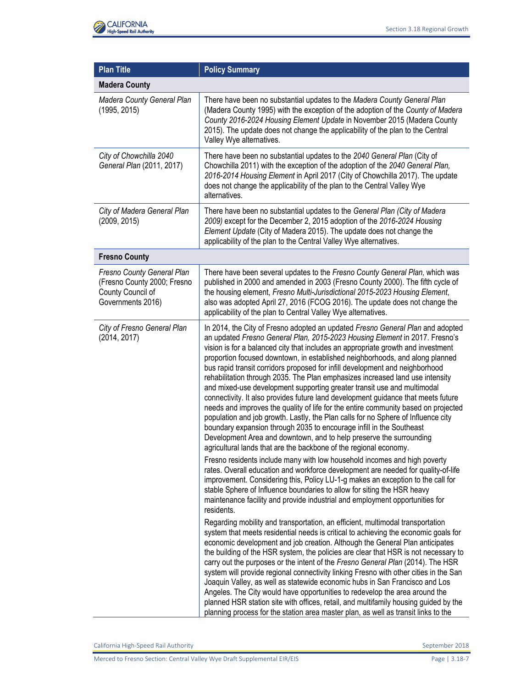

| <b>Plan Title</b>                                                                                   | <b>Policy Summary</b>                                                                                                                                                                                                                                                                                                                                                                                                                                                                                                                                                                                                                                                                                                                                                                                                                                                                                                                                                                                                                                             |  |  |  |  |  |
|-----------------------------------------------------------------------------------------------------|-------------------------------------------------------------------------------------------------------------------------------------------------------------------------------------------------------------------------------------------------------------------------------------------------------------------------------------------------------------------------------------------------------------------------------------------------------------------------------------------------------------------------------------------------------------------------------------------------------------------------------------------------------------------------------------------------------------------------------------------------------------------------------------------------------------------------------------------------------------------------------------------------------------------------------------------------------------------------------------------------------------------------------------------------------------------|--|--|--|--|--|
| <b>Madera County</b>                                                                                |                                                                                                                                                                                                                                                                                                                                                                                                                                                                                                                                                                                                                                                                                                                                                                                                                                                                                                                                                                                                                                                                   |  |  |  |  |  |
| Madera County General Plan<br>(1995, 2015)                                                          | There have been no substantial updates to the Madera County General Plan<br>(Madera County 1995) with the exception of the adoption of the County of Madera<br>County 2016-2024 Housing Element Update in November 2015 (Madera County<br>2015). The update does not change the applicability of the plan to the Central<br>Valley Wye alternatives.                                                                                                                                                                                                                                                                                                                                                                                                                                                                                                                                                                                                                                                                                                              |  |  |  |  |  |
| City of Chowchilla 2040<br>General Plan (2011, 2017)                                                | There have been no substantial updates to the 2040 General Plan (City of<br>Chowchilla 2011) with the exception of the adoption of the 2040 General Plan,<br>2016-2014 Housing Element in April 2017 (City of Chowchilla 2017). The update<br>does not change the applicability of the plan to the Central Valley Wye<br>alternatives.                                                                                                                                                                                                                                                                                                                                                                                                                                                                                                                                                                                                                                                                                                                            |  |  |  |  |  |
| City of Madera General Plan<br>(2009, 2015)                                                         | There have been no substantial updates to the General Plan (City of Madera<br>2009) except for the December 2, 2015 adoption of the 2016-2024 Housing<br>Element Update (City of Madera 2015). The update does not change the<br>applicability of the plan to the Central Valley Wye alternatives.                                                                                                                                                                                                                                                                                                                                                                                                                                                                                                                                                                                                                                                                                                                                                                |  |  |  |  |  |
| <b>Fresno County</b>                                                                                |                                                                                                                                                                                                                                                                                                                                                                                                                                                                                                                                                                                                                                                                                                                                                                                                                                                                                                                                                                                                                                                                   |  |  |  |  |  |
| Fresno County General Plan<br>(Fresno County 2000; Fresno<br>County Council of<br>Governments 2016) | There have been several updates to the Fresno County General Plan, which was<br>published in 2000 and amended in 2003 (Fresno County 2000). The fifth cycle of<br>the housing element, Fresno Multi-Jurisdictional 2015-2023 Housing Element,<br>also was adopted April 27, 2016 (FCOG 2016). The update does not change the<br>applicability of the plan to Central Valley Wye alternatives.                                                                                                                                                                                                                                                                                                                                                                                                                                                                                                                                                                                                                                                                     |  |  |  |  |  |
| City of Fresno General Plan<br>(2014, 2017)                                                         | In 2014, the City of Fresno adopted an updated Fresno General Plan and adopted<br>an updated Fresno General Plan, 2015-2023 Housing Element in 2017. Fresno's<br>vision is for a balanced city that includes an appropriate growth and investment<br>proportion focused downtown, in established neighborhoods, and along planned<br>bus rapid transit corridors proposed for infill development and neighborhood<br>rehabilitation through 2035. The Plan emphasizes increased land use intensity<br>and mixed-use development supporting greater transit use and multimodal<br>connectivity. It also provides future land development guidance that meets future<br>needs and improves the quality of life for the entire community based on projected<br>population and job growth. Lastly, the Plan calls for no Sphere of Influence city<br>boundary expansion through 2035 to encourage infill in the Southeast<br>Development Area and downtown, and to help preserve the surrounding<br>agricultural lands that are the backbone of the regional economy. |  |  |  |  |  |
|                                                                                                     | Fresno residents include many with low household incomes and high poverty<br>rates. Overall education and workforce development are needed for quality-of-life<br>improvement. Considering this, Policy LU-1-g makes an exception to the call for<br>stable Sphere of Influence boundaries to allow for siting the HSR heavy<br>maintenance facility and provide industrial and employment opportunities for<br>residents.                                                                                                                                                                                                                                                                                                                                                                                                                                                                                                                                                                                                                                        |  |  |  |  |  |
|                                                                                                     | Regarding mobility and transportation, an efficient, multimodal transportation<br>system that meets residential needs is critical to achieving the economic goals for<br>economic development and job creation. Although the General Plan anticipates<br>the building of the HSR system, the policies are clear that HSR is not necessary to<br>carry out the purposes or the intent of the Fresno General Plan (2014). The HSR<br>system will provide regional connectivity linking Fresno with other cities in the San<br>Joaquin Valley, as well as statewide economic hubs in San Francisco and Los<br>Angeles. The City would have opportunities to redevelop the area around the<br>planned HSR station site with offices, retail, and multifamily housing guided by the<br>planning process for the station area master plan, as well as transit links to the                                                                                                                                                                                              |  |  |  |  |  |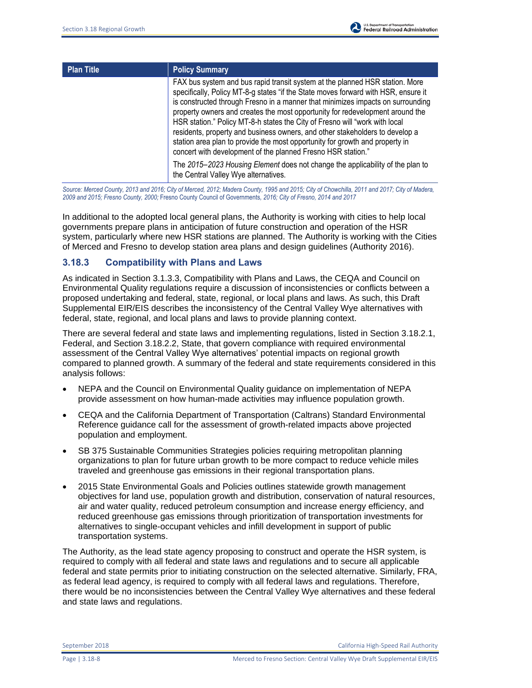| <b>Plan Title</b> | <b>Policy Summary</b>                                                                                                                                                                                                                                                                                                                                                                                                                                                                                                                                                                                                                                                                                                                                                           |
|-------------------|---------------------------------------------------------------------------------------------------------------------------------------------------------------------------------------------------------------------------------------------------------------------------------------------------------------------------------------------------------------------------------------------------------------------------------------------------------------------------------------------------------------------------------------------------------------------------------------------------------------------------------------------------------------------------------------------------------------------------------------------------------------------------------|
|                   | FAX bus system and bus rapid transit system at the planned HSR station. More<br>specifically, Policy MT-8-g states "if the State moves forward with HSR, ensure it<br>is constructed through Fresno in a manner that minimizes impacts on surrounding<br>property owners and creates the most opportunity for redevelopment around the<br>HSR station." Policy MT-8-h states the City of Fresno will "work with local<br>residents, property and business owners, and other stakeholders to develop a<br>station area plan to provide the most opportunity for growth and property in<br>concert with development of the planned Fresno HSR station."<br>The 2015–2023 Housing Element does not change the applicability of the plan to<br>the Central Valley Wye alternatives. |
|                   |                                                                                                                                                                                                                                                                                                                                                                                                                                                                                                                                                                                                                                                                                                                                                                                 |

*Source: Merced County, 2013 and 2016; City of Merced, 2012; Madera County, 1995 and 2015; City of Chowchilla, 2011 and 2017; City of Madera, 2009 and 2015; Fresno County, 2000;* Fresno County Council of Governments*, 2016; City of Fresno, 2014 and 2017*

In additional to the adopted local general plans, the Authority is working with cities to help local governments prepare plans in anticipation of future construction and operation of the HSR system, particularly where new HSR stations are planned. The Authority is working with the Cities of Merced and Fresno to develop station area plans and design guidelines (Authority 2016).

### **3.18.3 Compatibility with Plans and Laws**

As indicated in Section 3.1.3.3, Compatibility with Plans and Laws, the CEQA and Council on Environmental Quality regulations require a discussion of inconsistencies or conflicts between a proposed undertaking and federal, state, regional, or local plans and laws. As such, this Draft Supplemental EIR/EIS describes the inconsistency of the Central Valley Wye alternatives with federal, state, regional, and local plans and laws to provide planning context.

There are several federal and state laws and implementing regulations, listed in Section 3.18.2.1, Federal, and Section 3.18.2.2, State, that govern compliance with required environmental assessment of the Central Valley Wye alternatives' potential impacts on regional growth compared to planned growth. A summary of the federal and state requirements considered in this analysis follows:

- NEPA and the Council on Environmental Quality guidance on implementation of NEPA provide assessment on how human-made activities may influence population growth.
- CEQA and the California Department of Transportation (Caltrans) Standard Environmental Reference guidance call for the assessment of growth-related impacts above projected population and employment.
- SB 375 Sustainable Communities Strategies policies requiring metropolitan planning organizations to plan for future urban growth to be more compact to reduce vehicle miles traveled and greenhouse gas emissions in their regional transportation plans.
- 2015 State Environmental Goals and Policies outlines statewide growth management objectives for land use, population growth and distribution, conservation of natural resources, air and water quality, reduced petroleum consumption and increase energy efficiency, and reduced greenhouse gas emissions through prioritization of transportation investments for alternatives to single-occupant vehicles and infill development in support of public transportation systems.

The Authority, as the lead state agency proposing to construct and operate the HSR system, is required to comply with all federal and state laws and regulations and to secure all applicable federal and state permits prior to initiating construction on the selected alternative. Similarly, FRA, as federal lead agency, is required to comply with all federal laws and regulations. Therefore, there would be no inconsistencies between the Central Valley Wye alternatives and these federal and state laws and regulations.

September 2018 California High-Speed Rail Authority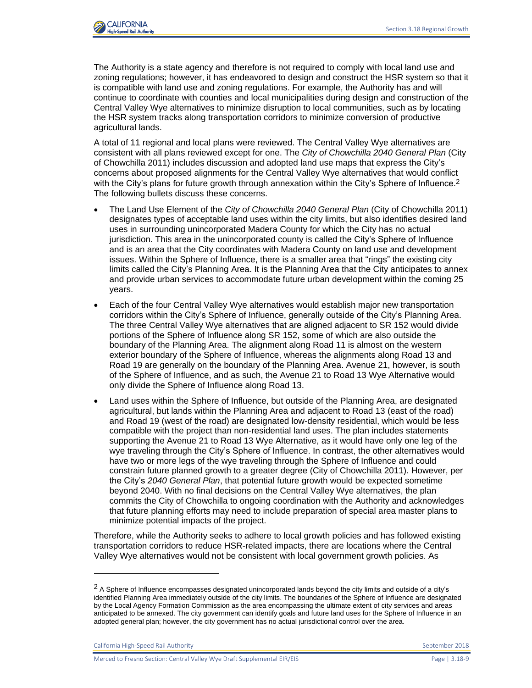

The Authority is a state agency and therefore is not required to comply with local land use and zoning regulations; however, it has endeavored to design and construct the HSR system so that it is compatible with land use and zoning regulations. For example, the Authority has and will continue to coordinate with counties and local municipalities during design and construction of the Central Valley Wye alternatives to minimize disruption to local communities, such as by locating the HSR system tracks along transportation corridors to minimize conversion of productive agricultural lands.

A total of 11 regional and local plans were reviewed. The Central Valley Wye alternatives are consistent with all plans reviewed except for one. The *City of Chowchilla 2040 General Plan* (City of Chowchilla 2011) includes discussion and adopted land use maps that express the City's concerns about proposed alignments for the Central Valley Wye alternatives that would conflict with the City's plans for future growth through annexation within the City's Sphere of Influence.<sup>2</sup> The following bullets discuss these concerns.

- The Land Use Element of the *City of Chowchilla 2040 General Plan* (City of Chowchilla 2011) designates types of acceptable land uses within the city limits, but also identifies desired land uses in surrounding unincorporated Madera County for which the City has no actual jurisdiction. This area in the unincorporated county is called the City's Sphere of Influence and is an area that the City coordinates with Madera County on land use and development issues. Within the Sphere of Influence, there is a smaller area that "rings" the existing city limits called the City's Planning Area. It is the Planning Area that the City anticipates to annex and provide urban services to accommodate future urban development within the coming 25 years.
- Each of the four Central Valley Wye alternatives would establish major new transportation corridors within the City's Sphere of Influence, generally outside of the City's Planning Area. The three Central Valley Wye alternatives that are aligned adjacent to SR 152 would divide portions of the Sphere of Influence along SR 152, some of which are also outside the boundary of the Planning Area. The alignment along Road 11 is almost on the western exterior boundary of the Sphere of Influence, whereas the alignments along Road 13 and Road 19 are generally on the boundary of the Planning Area. Avenue 21, however, is south of the Sphere of Influence, and as such, the Avenue 21 to Road 13 Wye Alternative would only divide the Sphere of Influence along Road 13.
- Land uses within the Sphere of Influence, but outside of the Planning Area, are designated agricultural, but lands within the Planning Area and adjacent to Road 13 (east of the road) and Road 19 (west of the road) are designated low-density residential, which would be less compatible with the project than non-residential land uses. The plan includes statements supporting the Avenue 21 to Road 13 Wye Alternative, as it would have only one leg of the wye traveling through the City's Sphere of Influence. In contrast, the other alternatives would have two or more legs of the wye traveling through the Sphere of Influence and could constrain future planned growth to a greater degree (City of Chowchilla 2011). However, per the City's *2040 General Plan*, that potential future growth would be expected sometime beyond 2040. With no final decisions on the Central Valley Wye alternatives, the plan commits the City of Chowchilla to ongoing coordination with the Authority and acknowledges that future planning efforts may need to include preparation of special area master plans to minimize potential impacts of the project.

Therefore, while the Authority seeks to adhere to local growth policies and has followed existing transportation corridors to reduce HSR-related impacts, there are locations where the Central Valley Wye alternatives would not be consistent with local government growth policies. As

California High-Speed Rail Authority **September 2018** September 2018

l

 $2$  A Sphere of Influence encompasses designated unincorporated lands beyond the city limits and outside of a city's identified Planning Area immediately outside of the city limits. The boundaries of the Sphere of Influence are designated by the Local Agency Formation Commission as the area encompassing the ultimate extent of city services and areas anticipated to be annexed. The city government can identify goals and future land uses for the Sphere of Influence in an adopted general plan; however, the city government has no actual jurisdictional control over the area.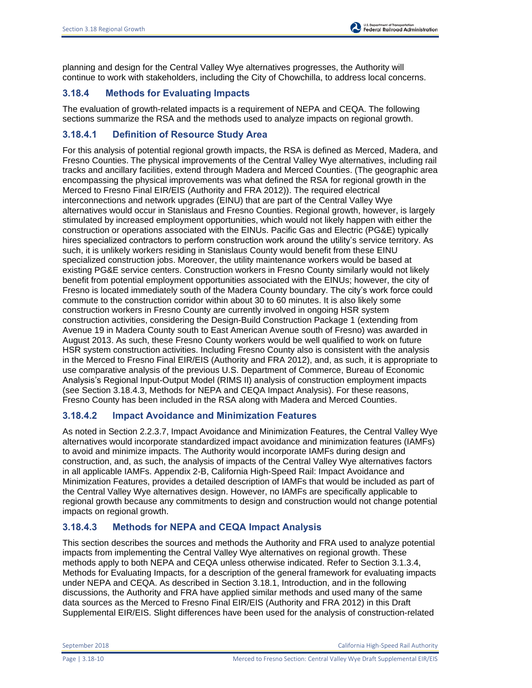planning and design for the Central Valley Wye alternatives progresses, the Authority will continue to work with stakeholders, including the City of Chowchilla, to address local concerns.

# **3.18.4 Methods for Evaluating Impacts**

The evaluation of growth-related impacts is a requirement of NEPA and CEQA. The following sections summarize the RSA and the methods used to analyze impacts on regional growth.

# **3.18.4.1 Definition of Resource Study Area**

For this analysis of potential regional growth impacts, the RSA is defined as Merced, Madera, and Fresno Counties. The physical improvements of the Central Valley Wye alternatives, including rail tracks and ancillary facilities, extend through Madera and Merced Counties. (The geographic area encompassing the physical improvements was what defined the RSA for regional growth in the Merced to Fresno Final EIR/EIS (Authority and FRA 2012)). The required electrical interconnections and network upgrades (EINU) that are part of the Central Valley Wye alternatives would occur in Stanislaus and Fresno Counties. Regional growth, however, is largely stimulated by increased employment opportunities, which would not likely happen with either the construction or operations associated with the EINUs. Pacific Gas and Electric (PG&E) typically hires specialized contractors to perform construction work around the utility's service territory. As such, it is unlikely workers residing in Stanislaus County would benefit from these EINU specialized construction jobs. Moreover, the utility maintenance workers would be based at existing PG&E service centers. Construction workers in Fresno County similarly would not likely benefit from potential employment opportunities associated with the EINUs; however, the city of Fresno is located immediately south of the Madera County boundary. The city's work force could commute to the construction corridor within about 30 to 60 minutes. It is also likely some construction workers in Fresno County are currently involved in ongoing HSR system construction activities, considering the Design-Build Construction Package 1 (extending from Avenue 19 in Madera County south to East American Avenue south of Fresno) was awarded in August 2013. As such, these Fresno County workers would be well qualified to work on future HSR system construction activities. Including Fresno County also is consistent with the analysis in the Merced to Fresno Final EIR/EIS (Authority and FRA 2012), and, as such, it is appropriate to use comparative analysis of the previous U.S. Department of Commerce, Bureau of Economic Analysis's Regional Input-Output Model (RIMS II) analysis of construction employment impacts (see Section 3.18.4.3, Methods for NEPA and CEQA Impact Analysis). For these reasons, Fresno County has been included in the RSA along with Madera and Merced Counties.

# **3.18.4.2 Impact Avoidance and Minimization Features**

As noted in Section 2.2.3.7, Impact Avoidance and Minimization Features, the Central Valley Wye alternatives would incorporate standardized impact avoidance and minimization features (IAMFs) to avoid and minimize impacts. The Authority would incorporate IAMFs during design and construction, and, as such, the analysis of impacts of the Central Valley Wye alternatives factors in all applicable IAMFs. Appendix 2-B, California High-Speed Rail: Impact Avoidance and Minimization Features, provides a detailed description of IAMFs that would be included as part of the Central Valley Wye alternatives design. However, no IAMFs are specifically applicable to regional growth because any commitments to design and construction would not change potential impacts on regional growth.

# **3.18.4.3 Methods for NEPA and CEQA Impact Analysis**

This section describes the sources and methods the Authority and FRA used to analyze potential impacts from implementing the Central Valley Wye alternatives on regional growth. These methods apply to both NEPA and CEQA unless otherwise indicated. Refer to Section 3.1.3.4, Methods for Evaluating Impacts, for a description of the general framework for evaluating impacts under NEPA and CEQA. As described in Section 3.18.1, Introduction, and in the following discussions, the Authority and FRA have applied similar methods and used many of the same data sources as the Merced to Fresno Final EIR/EIS (Authority and FRA 2012) in this Draft Supplemental EIR/EIS. Slight differences have been used for the analysis of construction-related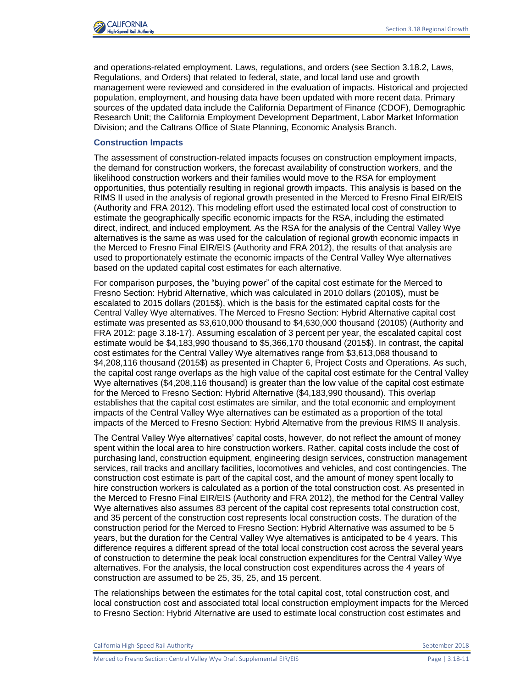

and operations-related employment. Laws, regulations, and orders (see Section 3.18.2, Laws, Regulations, and Orders) that related to federal, state, and local land use and growth management were reviewed and considered in the evaluation of impacts. Historical and projected population, employment, and housing data have been updated with more recent data. Primary sources of the updated data include the California Department of Finance (CDOF), Demographic Research Unit; the California Employment Development Department, Labor Market Information Division; and the Caltrans Office of State Planning, Economic Analysis Branch.

#### **Construction Impacts**

The assessment of construction-related impacts focuses on construction employment impacts, the demand for construction workers, the forecast availability of construction workers, and the likelihood construction workers and their families would move to the RSA for employment opportunities, thus potentially resulting in regional growth impacts. This analysis is based on the RIMS II used in the analysis of regional growth presented in the Merced to Fresno Final EIR/EIS (Authority and FRA 2012). This modeling effort used the estimated local cost of construction to estimate the geographically specific economic impacts for the RSA, including the estimated direct, indirect, and induced employment. As the RSA for the analysis of the Central Valley Wye alternatives is the same as was used for the calculation of regional growth economic impacts in the Merced to Fresno Final EIR/EIS (Authority and FRA 2012), the results of that analysis are used to proportionately estimate the economic impacts of the Central Valley Wye alternatives based on the updated capital cost estimates for each alternative.

For comparison purposes, the "buying power" of the capital cost estimate for the Merced to Fresno Section: Hybrid Alternative, which was calculated in 2010 dollars (2010\$), must be escalated to 2015 dollars (2015\$), which is the basis for the estimated capital costs for the Central Valley Wye alternatives. The Merced to Fresno Section: Hybrid Alternative capital cost estimate was presented as \$3,610,000 thousand to \$4,630,000 thousand (2010\$) (Authority and FRA 2012: page 3.18-17). Assuming escalation of 3 percent per year, the escalated capital cost estimate would be \$4,183,990 thousand to \$5,366,170 thousand (2015\$). In contrast, the capital cost estimates for the Central Valley Wye alternatives range from \$3,613,068 thousand to \$4,208,116 thousand (2015\$) as presented in Chapter 6, Project Costs and Operations. As such, the capital cost range overlaps as the high value of the capital cost estimate for the Central Valley Wye alternatives (\$4,208,116 thousand) is greater than the low value of the capital cost estimate for the Merced to Fresno Section: Hybrid Alternative (\$4,183,990 thousand). This overlap establishes that the capital cost estimates are similar, and the total economic and employment impacts of the Central Valley Wye alternatives can be estimated as a proportion of the total impacts of the Merced to Fresno Section: Hybrid Alternative from the previous RIMS II analysis.

The Central Valley Wye alternatives' capital costs, however, do not reflect the amount of money spent within the local area to hire construction workers. Rather, capital costs include the cost of purchasing land, construction equipment, engineering design services, construction management services, rail tracks and ancillary facilities, locomotives and vehicles, and cost contingencies. The construction cost estimate is part of the capital cost, and the amount of money spent locally to hire construction workers is calculated as a portion of the total construction cost. As presented in the Merced to Fresno Final EIR/EIS (Authority and FRA 2012), the method for the Central Valley Wye alternatives also assumes 83 percent of the capital cost represents total construction cost, and 35 percent of the construction cost represents local construction costs. The duration of the construction period for the Merced to Fresno Section: Hybrid Alternative was assumed to be 5 years, but the duration for the Central Valley Wye alternatives is anticipated to be 4 years. This difference requires a different spread of the total local construction cost across the several years of construction to determine the peak local construction expenditures for the Central Valley Wye alternatives. For the analysis, the local construction cost expenditures across the 4 years of construction are assumed to be 25, 35, 25, and 15 percent.

The relationships between the estimates for the total capital cost, total construction cost, and local construction cost and associated total local construction employment impacts for the Merced to Fresno Section: Hybrid Alternative are used to estimate local construction cost estimates and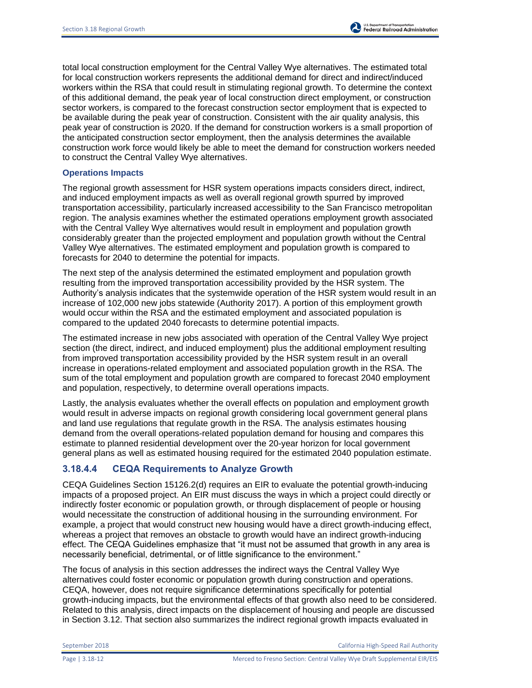total local construction employment for the Central Valley Wye alternatives. The estimated total for local construction workers represents the additional demand for direct and indirect/induced workers within the RSA that could result in stimulating regional growth. To determine the context of this additional demand, the peak year of local construction direct employment, or construction sector workers, is compared to the forecast construction sector employment that is expected to be available during the peak year of construction. Consistent with the air quality analysis, this peak year of construction is 2020. If the demand for construction workers is a small proportion of the anticipated construction sector employment, then the analysis determines the available construction work force would likely be able to meet the demand for construction workers needed to construct the Central Valley Wye alternatives.

### **Operations Impacts**

The regional growth assessment for HSR system operations impacts considers direct, indirect, and induced employment impacts as well as overall regional growth spurred by improved transportation accessibility, particularly increased accessibility to the San Francisco metropolitan region. The analysis examines whether the estimated operations employment growth associated with the Central Valley Wye alternatives would result in employment and population growth considerably greater than the projected employment and population growth without the Central Valley Wye alternatives. The estimated employment and population growth is compared to forecasts for 2040 to determine the potential for impacts.

The next step of the analysis determined the estimated employment and population growth resulting from the improved transportation accessibility provided by the HSR system. The Authority's analysis indicates that the systemwide operation of the HSR system would result in an increase of 102,000 new jobs statewide (Authority 2017). A portion of this employment growth would occur within the RSA and the estimated employment and associated population is compared to the updated 2040 forecasts to determine potential impacts.

The estimated increase in new jobs associated with operation of the Central Valley Wye project section (the direct, indirect, and induced employment) plus the additional employment resulting from improved transportation accessibility provided by the HSR system result in an overall increase in operations-related employment and associated population growth in the RSA. The sum of the total employment and population growth are compared to forecast 2040 employment and population, respectively, to determine overall operations impacts.

Lastly, the analysis evaluates whether the overall effects on population and employment growth would result in adverse impacts on regional growth considering local government general plans and land use regulations that regulate growth in the RSA. The analysis estimates housing demand from the overall operations-related population demand for housing and compares this estimate to planned residential development over the 20-year horizon for local government general plans as well as estimated housing required for the estimated 2040 population estimate.

# **3.18.4.4 CEQA Requirements to Analyze Growth**

CEQA Guidelines Section 15126.2(d) requires an EIR to evaluate the potential growth-inducing impacts of a proposed project. An EIR must discuss the ways in which a project could directly or indirectly foster economic or population growth, or through displacement of people or housing would necessitate the construction of additional housing in the surrounding environment. For example, a project that would construct new housing would have a direct growth-inducing effect, whereas a project that removes an obstacle to growth would have an indirect growth-inducing effect. The CEQA Guidelines emphasize that "it must not be assumed that growth in any area is necessarily beneficial, detrimental, or of little significance to the environment."

The focus of analysis in this section addresses the indirect ways the Central Valley Wye alternatives could foster economic or population growth during construction and operations. CEQA, however, does not require significance determinations specifically for potential growth-inducing impacts, but the environmental effects of that growth also need to be considered. Related to this analysis, direct impacts on the displacement of housing and people are discussed in Section 3.12. That section also summarizes the indirect regional growth impacts evaluated in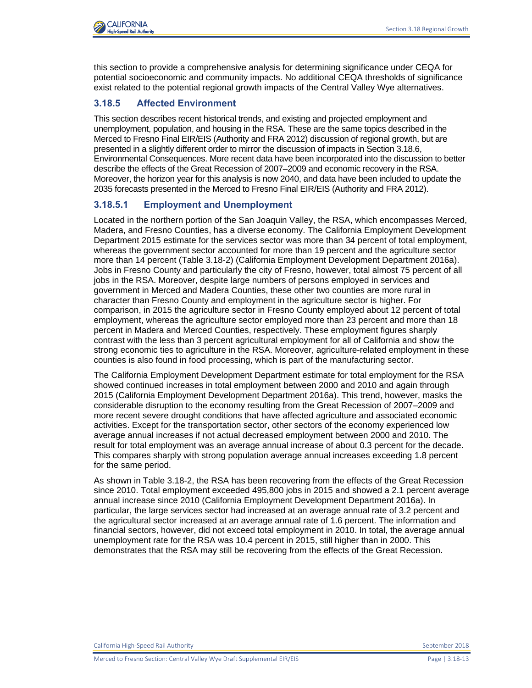

this section to provide a comprehensive analysis for determining significance under CEQA for potential socioeconomic and community impacts. No additional CEQA thresholds of significance exist related to the potential regional growth impacts of the Central Valley Wye alternatives.

## **3.18.5 Affected Environment**

This section describes recent historical trends, and existing and projected employment and unemployment, population, and housing in the RSA. These are the same topics described in the Merced to Fresno Final EIR/EIS (Authority and FRA 2012) discussion of regional growth, but are presented in a slightly different order to mirror the discussion of impacts in Section 3.18.6, Environmental Consequences. More recent data have been incorporated into the discussion to better describe the effects of the Great Recession of 2007–2009 and economic recovery in the RSA. Moreover, the horizon year for this analysis is now 2040, and data have been included to update the 2035 forecasts presented in the Merced to Fresno Final EIR/EIS (Authority and FRA 2012).

## **3.18.5.1 Employment and Unemployment**

Located in the northern portion of the San Joaquin Valley, the RSA, which encompasses Merced, Madera, and Fresno Counties, has a diverse economy. The California Employment Development Department 2015 estimate for the services sector was more than 34 percent of total employment, whereas the government sector accounted for more than 19 percent and the agriculture sector more than 14 percent (Table 3.18-2) (California Employment Development Department 2016a). Jobs in Fresno County and particularly the city of Fresno, however, total almost 75 percent of all jobs in the RSA. Moreover, despite large numbers of persons employed in services and government in Merced and Madera Counties, these other two counties are more rural in character than Fresno County and employment in the agriculture sector is higher. For comparison, in 2015 the agriculture sector in Fresno County employed about 12 percent of total employment, whereas the agriculture sector employed more than 23 percent and more than 18 percent in Madera and Merced Counties, respectively. These employment figures sharply contrast with the less than 3 percent agricultural employment for all of California and show the strong economic ties to agriculture in the RSA. Moreover, agriculture-related employment in these counties is also found in food processing, which is part of the manufacturing sector.

The California Employment Development Department estimate for total employment for the RSA showed continued increases in total employment between 2000 and 2010 and again through 2015 (California Employment Development Department 2016a). This trend, however, masks the considerable disruption to the economy resulting from the Great Recession of 2007–2009 and more recent severe drought conditions that have affected agriculture and associated economic activities. Except for the transportation sector, other sectors of the economy experienced low average annual increases if not actual decreased employment between 2000 and 2010. The result for total employment was an average annual increase of about 0.3 percent for the decade. This compares sharply with strong population average annual increases exceeding 1.8 percent for the same period.

As shown in Table 3.18-2, the RSA has been recovering from the effects of the Great Recession since 2010. Total employment exceeded 495,800 jobs in 2015 and showed a 2.1 percent average annual increase since 2010 (California Employment Development Department 2016a). In particular, the large services sector had increased at an average annual rate of 3.2 percent and the agricultural sector increased at an average annual rate of 1.6 percent. The information and financial sectors, however, did not exceed total employment in 2010. In total, the average annual unemployment rate for the RSA was 10.4 percent in 2015, still higher than in 2000. This demonstrates that the RSA may still be recovering from the effects of the Great Recession.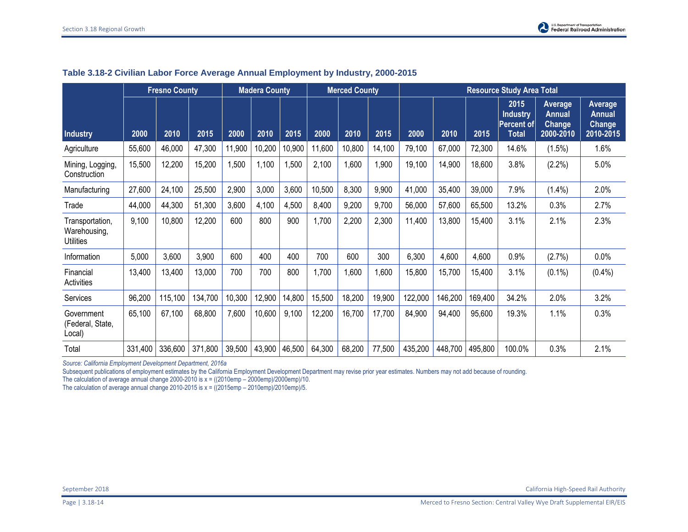| <b>Fresno County</b>                                |         |         | <b>Madera County</b> |        | <b>Merced County</b> |                 | <b>Resource Study Area Total</b> |        |        |         |         |         |                                                       |                                                        |                                                        |
|-----------------------------------------------------|---------|---------|----------------------|--------|----------------------|-----------------|----------------------------------|--------|--------|---------|---------|---------|-------------------------------------------------------|--------------------------------------------------------|--------------------------------------------------------|
| <b>Industry</b>                                     | 2000    | 2010    | 2015                 | 2000   | 2010                 | 2015            | 2000                             | 2010   | 2015   | 2000    | 2010    | 2015    | 2015<br><b>Industry</b><br>Percent of<br><b>Total</b> | Average<br><b>Annual</b><br><b>Change</b><br>2000-2010 | Average<br><b>Annual</b><br><b>Change</b><br>2010-2015 |
| Agriculture                                         | 55,600  | 46,000  | 47,300               | 11,900 | 10,200               | 10,900          | 11,600                           | 10,800 | 14,100 | 79,100  | 67,000  | 72,300  | 14.6%                                                 | (1.5%)                                                 | 1.6%                                                   |
| Mining, Logging,<br>Construction                    | 15,500  | 12,200  | 15,200               | 1,500  | 1,100                | 1,500           | 2,100                            | 1,600  | 1,900  | 19,100  | 14,900  | 18,600  | 3.8%                                                  | (2.2%)                                                 | 5.0%                                                   |
| Manufacturing                                       | 27,600  | 24,100  | 25,500               | 2,900  | 3,000                | 3,600           | 10,500                           | 8,300  | 9,900  | 41,000  | 35,400  | 39,000  | 7.9%                                                  | $(1.4\%)$                                              | 2.0%                                                   |
| Trade                                               | 44,000  | 44,300  | 51,300               | 3,600  | 4,100                | 4,500           | 8,400                            | 9,200  | 9,700  | 56,000  | 57,600  | 65,500  | 13.2%                                                 | 0.3%                                                   | 2.7%                                                   |
| Transportation,<br>Warehousing,<br><b>Utilities</b> | 9,100   | 10,800  | 12,200               | 600    | 800                  | 900             | ,700                             | 2,200  | 2,300  | 11,400  | 13,800  | 15,400  | 3.1%                                                  | 2.1%                                                   | 2.3%                                                   |
| Information                                         | 5,000   | 3,600   | 3,900                | 600    | 400                  | 400             | 700                              | 600    | 300    | 6,300   | 4,600   | 4,600   | 0.9%                                                  | (2.7%)                                                 | $0.0\%$                                                |
| Financial<br>Activities                             | 13,400  | 13,400  | 13,000               | 700    | 700                  | 800             | 1,700                            | 1,600  | 1,600  | 15,800  | 15,700  | 15,400  | 3.1%                                                  | $(0.1\%)$                                              | $(0.4\%)$                                              |
| Services                                            | 96,200  | 115,100 | 134,700              | 10,300 | 12,900               | 14,800          | 15,500                           | 18,200 | 19,900 | 122,000 | 146,200 | 169,400 | 34.2%                                                 | 2.0%                                                   | 3.2%                                                   |
| Government<br>(Federal, State,<br>Local)            | 65,100  | 67,100  | 68,800               | 7,600  | 10,600               | 9,100           | 12,200                           | 16,700 | 17,700 | 84,900  | 94,400  | 95,600  | 19.3%                                                 | 1.1%                                                   | 0.3%                                                   |
| Total                                               | 331,400 | 336,600 | 371,800              | 39,500 |                      | $43,900$ 46,500 | 64,300                           | 68,200 | 77,500 | 435,200 | 448,700 | 495,800 | 100.0%                                                | 0.3%                                                   | 2.1%                                                   |

### **Table 3.18-2 Civilian Labor Force Average Annual Employment by Industry, 2000-2015**

*Source: California Employment Development Department, 2016a* 

Subsequent publications of employment estimates by the California Employment Development Department may revise prior year estimates. Numbers may not add because of rounding.

The calculation of average annual change 2000-2010 is  $x = ((2010 \text{emp} - 2000 \text{emp})/2000 \text{emp})/10$ .

The calculation of average annual change 2010-2015 is  $x = ((2015 \text{emp} - 2010 \text{emp})/2010 \text{emp})/5$ .

September 2018 California High-Speed Rail Authority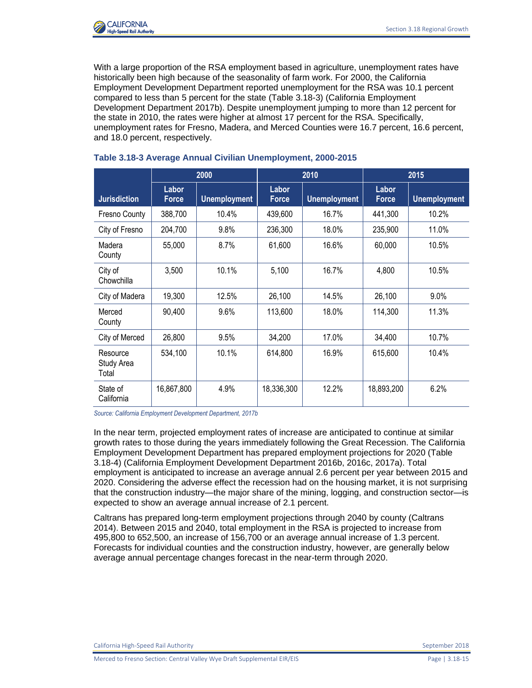

With a large proportion of the RSA employment based in agriculture, unemployment rates have historically been high because of the seasonality of farm work. For 2000, the California Employment Development Department reported unemployment for the RSA was 10.1 percent compared to less than 5 percent for the state (Table 3.18-3) (California Employment Development Department 2017b). Despite unemployment jumping to more than 12 percent for the state in 2010, the rates were higher at almost 17 percent for the RSA. Specifically, unemployment rates for Fresno, Madera, and Merced Counties were 16.7 percent, 16.6 percent, and 18.0 percent, respectively.

|                                 | 2000           |                     |                       | 2010                | 2015                  |                     |  |
|---------------------------------|----------------|---------------------|-----------------------|---------------------|-----------------------|---------------------|--|
| <b>Jurisdiction</b>             | Labor<br>Force | <b>Unemployment</b> | Labor<br><b>Force</b> | <b>Unemployment</b> | Labor<br><b>Force</b> | <b>Unemployment</b> |  |
| Fresno County                   | 388,700        | 10.4%               | 439,600               | 16.7%               | 441,300               | 10.2%               |  |
| City of Fresno                  | 204,700        | 9.8%                | 236,300               | 18.0%               | 235,900               | 11.0%               |  |
| Madera<br>County                | 55,000         | 8.7%                | 61,600                | 16.6%               | 60,000                | 10.5%               |  |
| City of<br>Chowchilla           | 3,500          | 10.1%               | 5,100                 | 16.7%               | 4,800                 | 10.5%               |  |
| City of Madera                  | 19,300         | 12.5%               | 26,100                | 14.5%               | 26,100                | $9.0\%$             |  |
| Merced<br>County                | 90,400         | 9.6%                | 113,600               | 18.0%               | 114,300               | 11.3%               |  |
| City of Merced                  | 26,800         | 9.5%                | 34,200                | 17.0%               | 34,400                | 10.7%               |  |
| Resource<br>Study Area<br>Total | 534,100        | 10.1%               | 614,800               | 16.9%               | 615,600               | 10.4%               |  |
| State of<br>California          | 16,867,800     | 4.9%                | 18,336,300            | 12.2%               | 18,893,200            | 6.2%                |  |

### **Table 3.18-3 Average Annual Civilian Unemployment, 2000-2015**

*Source: California Employment Development Department, 2017b* 

In the near term, projected employment rates of increase are anticipated to continue at similar growth rates to those during the years immediately following the Great Recession. The California Employment Development Department has prepared employment projections for 2020 (Table 3.18-4) (California Employment Development Department 2016b, 2016c, 2017a). Total employment is anticipated to increase an average annual 2.6 percent per year between 2015 and 2020. Considering the adverse effect the recession had on the housing market, it is not surprising that the construction industry—the major share of the mining, logging, and construction sector—is expected to show an average annual increase of 2.1 percent.

Caltrans has prepared long-term employment projections through 2040 by county (Caltrans 2014). Between 2015 and 2040, total employment in the RSA is projected to increase from 495,800 to 652,500, an increase of 156,700 or an average annual increase of 1.3 percent. Forecasts for individual counties and the construction industry, however, are generally below average annual percentage changes forecast in the near-term through 2020.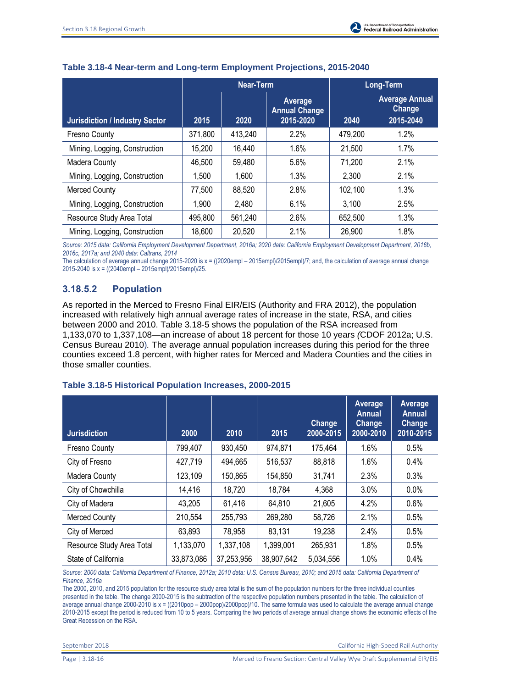|                                       | Near-Term |         |                                              | Long-Term |                                              |  |
|---------------------------------------|-----------|---------|----------------------------------------------|-----------|----------------------------------------------|--|
| <b>Jurisdiction / Industry Sector</b> | 2015      | 2020    | Average<br><b>Annual Change</b><br>2015-2020 | 2040      | <b>Average Annual</b><br>Change<br>2015-2040 |  |
| Fresno County                         | 371,800   | 413,240 | 2.2%                                         | 479,200   | 1.2%                                         |  |
| Mining, Logging, Construction         | 15,200    | 16,440  | 1.6%                                         | 21.500    | 1.7%                                         |  |
| <b>Madera County</b>                  | 46,500    | 59,480  | 5.6%                                         | 71,200    | 2.1%                                         |  |
| Mining, Logging, Construction         | 1,500     | 1,600   | 1.3%                                         | 2,300     | 2.1%                                         |  |
| <b>Merced County</b>                  | 77,500    | 88,520  | 2.8%                                         | 102,100   | 1.3%                                         |  |
| Mining, Logging, Construction         | 1,900     | 2,480   | 6.1%                                         | 3,100     | 2.5%                                         |  |
| Resource Study Area Total             | 495,800   | 561,240 | 2.6%                                         | 652,500   | 1.3%                                         |  |
| Mining, Logging, Construction         | 18,600    | 20,520  | 2.1%                                         | 26,900    | 1.8%                                         |  |

# **Table 3.18-4 Near-term and Long-term Employment Projections, 2015-2040**

*Source: 2015 data: California Employment Development Department, 2016a; 2020 data: California Employment Development Department, 2016b, 2016c, 2017a; and 2040 data: Caltrans, 2014* 

The calculation of average annual change 2015-2020 is x = ((2020empl – 2015empl)/2015empl)/7; and, the calculation of average annual change 2015-2040 is x = ((2040empl – 2015empl)/2015empl)/25.

# **3.18.5.2 Population**

As reported in the Merced to Fresno Final EIR/EIS (Authority and FRA 2012), the population increased with relatively high annual average rates of increase in the state, RSA, and cities between 2000 and 2010. Table 3.18-5 shows the population of the RSA increased from 1,133,070 to 1,337,108—an increase of about 18 percent for those 10 years *(*CDOF 2012a; U.S. Census Bureau 2010)*.* The average annual population increases during this period for the three counties exceed 1.8 percent, with higher rates for Merced and Madera Counties and the cities in those smaller counties.

# **Table 3.18-5 Historical Population Increases, 2000-2015**

| <b>Jurisdiction</b>       | 2000       | 2010       | 2015       | <b>Change</b><br>2000-2015 | Average<br><b>Annual</b><br><b>Change</b><br>2000-2010 | Average<br>Annual<br><b>Change</b><br>2010-2015 |
|---------------------------|------------|------------|------------|----------------------------|--------------------------------------------------------|-------------------------------------------------|
| Fresno County             | 799,407    | 930,450    | 974,871    | 175,464                    | 1.6%                                                   | 0.5%                                            |
| City of Fresno            | 427,719    | 494,665    | 516,537    | 88,818                     | 1.6%                                                   | 0.4%                                            |
| <b>Madera County</b>      | 123,109    | 150,865    | 154,850    | 31,741                     | 2.3%                                                   | 0.3%                                            |
| City of Chowchilla        | 14,416     | 18,720     | 18,784     | 4,368                      | 3.0%                                                   | 0.0%                                            |
| City of Madera            | 43,205     | 61,416     | 64,810     | 21,605                     | 4.2%                                                   | 0.6%                                            |
| <b>Merced County</b>      | 210,554    | 255,793    | 269,280    | 58,726                     | 2.1%                                                   | 0.5%                                            |
| City of Merced            | 63,893     | 78,958     | 83,131     | 19,238                     | 2.4%                                                   | 0.5%                                            |
| Resource Study Area Total | 1,133,070  | 1,337,108  | 1,399,001  | 265,931                    | 1.8%                                                   | 0.5%                                            |
| State of California       | 33,873,086 | 37,253,956 | 38,907,642 | 5,034,556                  | 1.0%                                                   | 0.4%                                            |

*Source: 2000 data: California Department of Finance, 2012a; 2010 data: U.S. Census Bureau, 2010; and 2015 data: California Department of Finance, 2016a*

The 2000, 2010, and 2015 population for the resource study area total is the sum of the population numbers for the three individual counties presented in the table. The change 2000-2015 is the subtraction of the respective population numbers presented in the table. The calculation of average annual change 2000-2010 is x = ((2010pop - 2000pop)/2000pop)/10. The same formula was used to calculate the average annual change 2010-2015 except the period is reduced from 10 to 5 years. Comparing the two periods of average annual change shows the economic effects of the Great Recession on the RSA.

September 2018 California High-Speed Rail Authority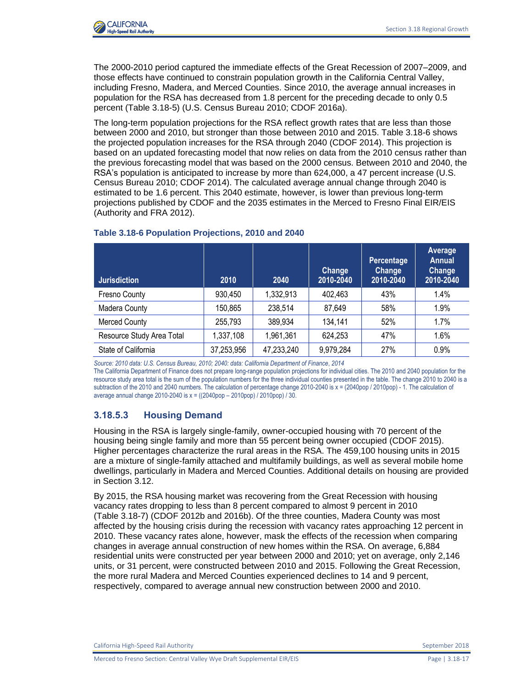

The 2000-2010 period captured the immediate effects of the Great Recession of 2007–2009, and those effects have continued to constrain population growth in the California Central Valley, including Fresno, Madera, and Merced Counties. Since 2010, the average annual increases in population for the RSA has decreased from 1.8 percent for the preceding decade to only 0.5 percent (Table 3.18-5) (U.S. Census Bureau 2010; CDOF 2016a).

The long-term population projections for the RSA reflect growth rates that are less than those between 2000 and 2010, but stronger than those between 2010 and 2015. Table 3.18-6 shows the projected population increases for the RSA through 2040 (CDOF 2014). This projection is based on an updated forecasting model that now relies on data from the 2010 census rather than the previous forecasting model that was based on the 2000 census. Between 2010 and 2040, the RSA's population is anticipated to increase by more than 624,000, a 47 percent increase (U.S. Census Bureau 2010; CDOF 2014). The calculated average annual change through 2040 is estimated to be 1.6 percent. This 2040 estimate, however, is lower than previous long-term projections published by CDOF and the 2035 estimates in the Merced to Fresno Final EIR/EIS (Authority and FRA 2012).

| <b>Jurisdiction</b>       | 2010       | 2040       | <b>Change</b><br>2010-2040 | Percentage<br><b>Change</b><br>2010-2040 | Average<br><b>Annual</b><br>Change<br>2010-2040 |
|---------------------------|------------|------------|----------------------------|------------------------------------------|-------------------------------------------------|
| Fresno County             | 930,450    | 1,332,913  | 402,463                    | 43%                                      | 1.4%                                            |
| Madera County             | 150,865    | 238,514    | 87,649                     | 58%                                      | 1.9%                                            |
| <b>Merced County</b>      | 255,793    | 389,934    | 134,141                    | 52%                                      | 1.7%                                            |
| Resource Study Area Total | 1,337,108  | 1,961,361  | 624,253                    | 47%                                      | 1.6%                                            |
| State of California       | 37,253,956 | 47,233,240 | 9,979,284                  | 27%                                      | 0.9%                                            |

#### **Table 3.18-6 Population Projections, 2010 and 2040**

*Source: 2010 data: U.S. Census Bureau, 2010; 2040: data: California Department of Finance*, *2014*

The California Department of Finance does not prepare long-range population projections for individual cities. The 2010 and 2040 population for the resource study area total is the sum of the population numbers for the three individual counties presented in the table. The change 2010 to 2040 is a subtraction of the 2010 and 2040 numbers. The calculation of percentage change 2010-2040 is x = (2040pop / 2010pop) - 1. The calculation of average annual change 2010-2040 is x = ((2040pop – 2010pop) / 2010pop) / 30.

## **3.18.5.3 Housing Demand**

Housing in the RSA is largely single-family, owner-occupied housing with 70 percent of the housing being single family and more than 55 percent being owner occupied (CDOF 2015). Higher percentages characterize the rural areas in the RSA. The 459,100 housing units in 2015 are a mixture of single-family attached and multifamily buildings, as well as several mobile home dwellings, particularly in Madera and Merced Counties. Additional details on housing are provided in Section 3.12.

By 2015, the RSA housing market was recovering from the Great Recession with housing vacancy rates dropping to less than 8 percent compared to almost 9 percent in 2010 (Table 3.18-7) (CDOF 2012b and 2016b). Of the three counties, Madera County was most affected by the housing crisis during the recession with vacancy rates approaching 12 percent in 2010. These vacancy rates alone, however, mask the effects of the recession when comparing changes in average annual construction of new homes within the RSA. On average, 6,884 residential units were constructed per year between 2000 and 2010; yet on average, only 2,146 units, or 31 percent, were constructed between 2010 and 2015. Following the Great Recession, the more rural Madera and Merced Counties experienced declines to 14 and 9 percent, respectively, compared to average annual new construction between 2000 and 2010.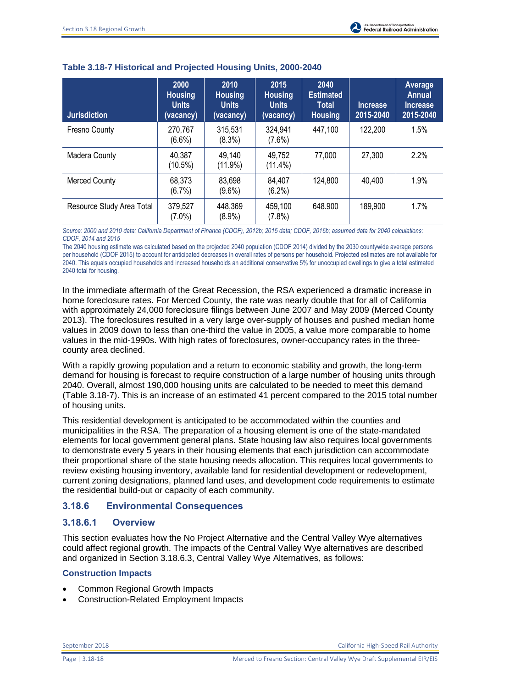| <b>Jurisdiction</b>       | 2000<br><b>Housing</b><br><b>Units</b><br>(vacancy) | 2010<br><b>Housing</b><br><b>Units</b><br>(vacancy) | 2015<br><b>Housing</b><br><b>Units</b><br>(vacancy) | 2040<br><b>Estimated</b><br><b>Total</b><br><b>Housing</b> | Increase<br>2015-2040 | <b>Average</b><br><b>Annual</b><br>Increase<br>2015-2040 |
|---------------------------|-----------------------------------------------------|-----------------------------------------------------|-----------------------------------------------------|------------------------------------------------------------|-----------------------|----------------------------------------------------------|
| <b>Fresno County</b>      | 270,767<br>$(6.6\%)$                                | 315,531<br>(8.3%)                                   | 324,941<br>$(7.6\%)$                                | 447,100                                                    | 122,200               | 1.5%                                                     |
| Madera County             | 40,387<br>$(10.5\%)$                                | 49.140<br>(11.9%)                                   | 49,752<br>$(11.4\%)$                                | 77,000                                                     | 27,300                | 2.2%                                                     |
| <b>Merced County</b>      | 68,373<br>(6.7%)                                    | 83,698<br>$(9.6\%)$                                 | 84,407<br>$(6.2\%)$                                 | 124,800                                                    | 40,400                | 1.9%                                                     |
| Resource Study Area Total | 379,527<br>$(7.0\%)$                                | 448,369<br>$(8.9\%)$                                | 459,100<br>$(7.8\%)$                                | 648.900                                                    | 189,900               | 1.7%                                                     |

### **Table 3.18-7 Historical and Projected Housing Units, 2000-2040**

*Source: 2000 and 2010 data: California Department of Finance (CDOF), 2012b; 2015 data; CDOF, 2016b; assumed data for 2040 calculations*: *CDOF, 2014 and 2015*

The 2040 housing estimate was calculated based on the projected 2040 population (CDOF 2014) divided by the 2030 countywide average persons per household (CDOF 2015) to account for anticipated decreases in overall rates of persons per household. Projected estimates are not available for 2040. This equals occupied households and increased households an additional conservative 5% for unoccupied dwellings to give a total estimated 2040 total for housing.

In the immediate aftermath of the Great Recession, the RSA experienced a dramatic increase in home foreclosure rates. For Merced County, the rate was nearly double that for all of California with approximately 24,000 foreclosure filings between June 2007 and May 2009 (Merced County 2013). The foreclosures resulted in a very large over-supply of houses and pushed median home values in 2009 down to less than one-third the value in 2005, a value more comparable to home values in the mid-1990s. With high rates of foreclosures, owner-occupancy rates in the threecounty area declined.

With a rapidly growing population and a return to economic stability and growth, the long-term demand for housing is forecast to require construction of a large number of housing units through 2040. Overall, almost 190,000 housing units are calculated to be needed to meet this demand (Table 3.18-7). This is an increase of an estimated 41 percent compared to the 2015 total number of housing units.

This residential development is anticipated to be accommodated within the counties and municipalities in the RSA. The preparation of a housing element is one of the state-mandated elements for local government general plans. State housing law also requires local governments to demonstrate every 5 years in their housing elements that each jurisdiction can accommodate their proportional share of the state housing needs allocation. This requires local governments to review existing housing inventory, available land for residential development or redevelopment, current zoning designations, planned land uses, and development code requirements to estimate the residential build-out or capacity of each community.

# **3.18.6 Environmental Consequences**

## **3.18.6.1 Overview**

This section evaluates how the No Project Alternative and the Central Valley Wye alternatives could affect regional growth. The impacts of the Central Valley Wye alternatives are described and organized in Section 3.18.6.3, Central Valley Wye Alternatives, as follows:

### **Construction Impacts**

- Common Regional Growth Impacts
- Construction-Related Employment Impacts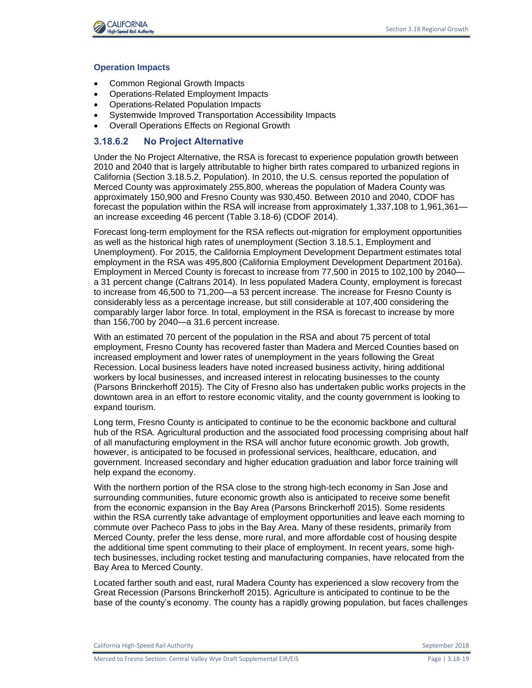

#### **Operation Impacts**

- Common Regional Growth Impacts
- Operations-Related Employment Impacts
- Operations-Related Population Impacts
- Systemwide Improved Transportation Accessibility Impacts
- Overall Operations Effects on Regional Growth

### **3.18.6.2 No Project Alternative**

Under the No Project Alternative, the RSA is forecast to experience population growth between 2010 and 2040 that is largely attributable to higher birth rates compared to urbanized regions in California (Section 3.18.5.2, Population). In 2010, the U.S. census reported the population of Merced County was approximately 255,800, whereas the population of Madera County was approximately 150,900 and Fresno County was 930,450. Between 2010 and 2040, CDOF has forecast the population within the RSA will increase from approximately 1,337,108 to 1,961,361 an increase exceeding 46 percent (Table 3.18-6) (CDOF 2014).

Forecast long-term employment for the RSA reflects out-migration for employment opportunities as well as the historical high rates of unemployment (Section 3.18.5.1, Employment and Unemployment). For 2015, the California Employment Development Department estimates total employment in the RSA was 495,800 (California Employment Development Department 2016a). Employment in Merced County is forecast to increase from 77,500 in 2015 to 102,100 by 2040 a 31 percent change (Caltrans 2014). In less populated Madera County, employment is forecast to increase from 46,500 to 71,200—a 53 percent increase. The increase for Fresno County is considerably less as a percentage increase, but still considerable at 107,400 considering the comparably larger labor force. In total, employment in the RSA is forecast to increase by more than 156,700 by 2040—a 31.6 percent increase.

With an estimated 70 percent of the population in the RSA and about 75 percent of total employment, Fresno County has recovered faster than Madera and Merced Counties based on increased employment and lower rates of unemployment in the years following the Great Recession. Local business leaders have noted increased business activity, hiring additional workers by local businesses, and increased interest in relocating businesses to the county (Parsons Brinckerhoff 2015). The City of Fresno also has undertaken public works projects in the downtown area in an effort to restore economic vitality, and the county government is looking to expand tourism.

Long term, Fresno County is anticipated to continue to be the economic backbone and cultural hub of the RSA. Agricultural production and the associated food processing comprising about half of all manufacturing employment in the RSA will anchor future economic growth. Job growth, however, is anticipated to be focused in professional services, healthcare, education, and government. Increased secondary and higher education graduation and labor force training will help expand the economy.

With the northern portion of the RSA close to the strong high-tech economy in San Jose and surrounding communities, future economic growth also is anticipated to receive some benefit from the economic expansion in the Bay Area (Parsons Brinckerhoff 2015). Some residents within the RSA currently take advantage of employment opportunities and leave each morning to commute over Pacheco Pass to jobs in the Bay Area. Many of these residents, primarily from Merced County, prefer the less dense, more rural, and more affordable cost of housing despite the additional time spent commuting to their place of employment. In recent years, some hightech businesses, including rocket testing and manufacturing companies, have relocated from the Bay Area to Merced County.

Located farther south and east, rural Madera County has experienced a slow recovery from the Great Recession (Parsons Brinckerhoff 2015). Agriculture is anticipated to continue to be the base of the county's economy. The county has a rapidly growing population, but faces challenges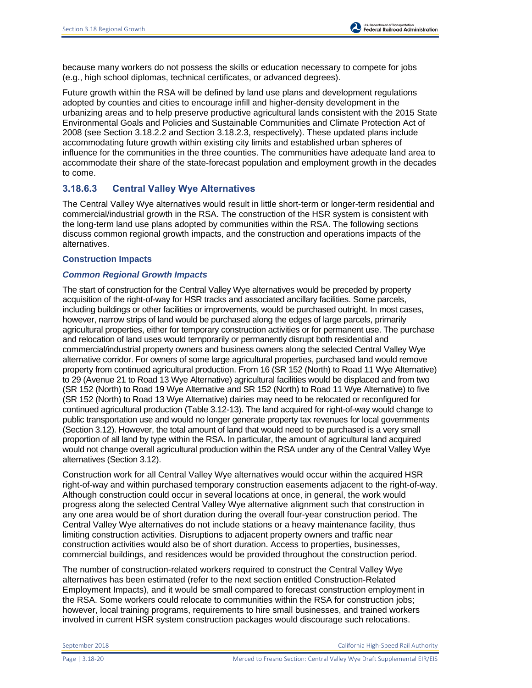because many workers do not possess the skills or education necessary to compete for jobs (e.g., high school diplomas, technical certificates, or advanced degrees).

Future growth within the RSA will be defined by land use plans and development regulations adopted by counties and cities to encourage infill and higher-density development in the urbanizing areas and to help preserve productive agricultural lands consistent with the 2015 State Environmental Goals and Policies and Sustainable Communities and Climate Protection Act of 2008 (see Section 3.18.2.2 and Section 3.18.2.3, respectively). These updated plans include accommodating future growth within existing city limits and established urban spheres of influence for the communities in the three counties. The communities have adequate land area to accommodate their share of the state-forecast population and employment growth in the decades to come.

### **3.18.6.3 Central Valley Wye Alternatives**

The Central Valley Wye alternatives would result in little short-term or longer-term residential and commercial/industrial growth in the RSA. The construction of the HSR system is consistent with the long-term land use plans adopted by communities within the RSA. The following sections discuss common regional growth impacts, and the construction and operations impacts of the alternatives.

#### **Construction Impacts**

#### *Common Regional Growth Impacts*

The start of construction for the Central Valley Wye alternatives would be preceded by property acquisition of the right-of-way for HSR tracks and associated ancillary facilities. Some parcels, including buildings or other facilities or improvements, would be purchased outright. In most cases, however, narrow strips of land would be purchased along the edges of large parcels, primarily agricultural properties, either for temporary construction activities or for permanent use. The purchase and relocation of land uses would temporarily or permanently disrupt both residential and commercial/industrial property owners and business owners along the selected Central Valley Wye alternative corridor. For owners of some large agricultural properties, purchased land would remove property from continued agricultural production. From 16 (SR 152 (North) to Road 11 Wye Alternative) to 29 (Avenue 21 to Road 13 Wye Alternative) agricultural facilities would be displaced and from two (SR 152 (North) to Road 19 Wye Alternative and SR 152 (North) to Road 11 Wye Alternative) to five (SR 152 (North) to Road 13 Wye Alternative) dairies may need to be relocated or reconfigured for continued agricultural production (Table 3.12-13). The land acquired for right-of-way would change to public transportation use and would no longer generate property tax revenues for local governments (Section 3.12). However, the total amount of land that would need to be purchased is a very small proportion of all land by type within the RSA. In particular, the amount of agricultural land acquired would not change overall agricultural production within the RSA under any of the Central Valley Wye alternatives (Section 3.12).

Construction work for all Central Valley Wye alternatives would occur within the acquired HSR right-of-way and within purchased temporary construction easements adjacent to the right-of-way. Although construction could occur in several locations at once, in general, the work would progress along the selected Central Valley Wye alternative alignment such that construction in any one area would be of short duration during the overall four-year construction period. The Central Valley Wye alternatives do not include stations or a heavy maintenance facility, thus limiting construction activities. Disruptions to adjacent property owners and traffic near construction activities would also be of short duration. Access to properties, businesses, commercial buildings, and residences would be provided throughout the construction period.

The number of construction-related workers required to construct the Central Valley Wye alternatives has been estimated (refer to the next section entitled Construction-Related Employment Impacts), and it would be small compared to forecast construction employment in the RSA. Some workers could relocate to communities within the RSA for construction jobs; however, local training programs, requirements to hire small businesses, and trained workers involved in current HSR system construction packages would discourage such relocations.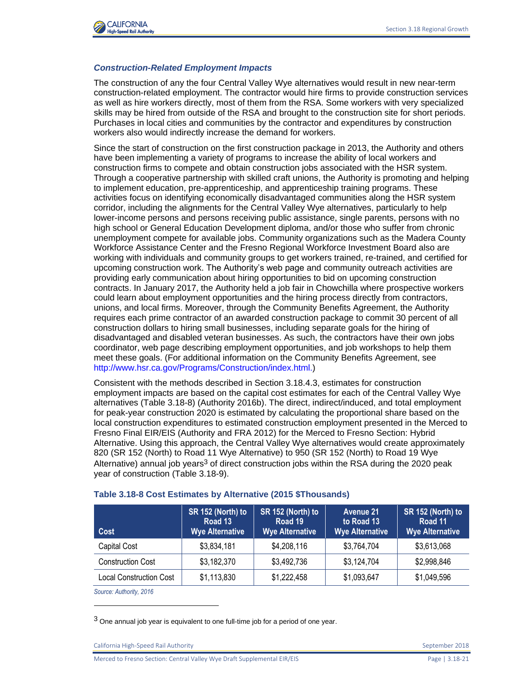

#### *Construction-Related Employment Impacts*

The construction of any the four Central Valley Wye alternatives would result in new near-term construction-related employment. The contractor would hire firms to provide construction services as well as hire workers directly, most of them from the RSA. Some workers with very specialized skills may be hired from outside of the RSA and brought to the construction site for short periods. Purchases in local cities and communities by the contractor and expenditures by construction workers also would indirectly increase the demand for workers.

Since the start of construction on the first construction package in 2013, the Authority and others have been implementing a variety of programs to increase the ability of local workers and construction firms to compete and obtain construction jobs associated with the HSR system. Through a cooperative partnership with skilled craft unions, the Authority is promoting and helping to implement education, pre-apprenticeship, and apprenticeship training programs. These activities focus on identifying economically disadvantaged communities along the HSR system corridor, including the alignments for the Central Valley Wye alternatives, particularly to help lower-income persons and persons receiving public assistance, single parents, persons with no high school or General Education Development diploma, and/or those who suffer from chronic unemployment compete for available jobs. Community organizations such as the Madera County Workforce Assistance Center and the Fresno Regional Workforce Investment Board also are working with individuals and community groups to get workers trained, re-trained, and certified for upcoming construction work. The Authority's web page and community outreach activities are providing early communication about hiring opportunities to bid on upcoming construction contracts. In January 2017, the Authority held a job fair in Chowchilla where prospective workers could learn about employment opportunities and the hiring process directly from contractors, unions, and local firms. Moreover, through the Community Benefits Agreement, the Authority requires each prime contractor of an awarded construction package to commit 30 percent of all construction dollars to hiring small businesses, including separate goals for the hiring of disadvantaged and disabled veteran businesses. As such, the contractors have their own jobs coordinator, web page describing employment opportunities, and job workshops to help them meet these goals. (For additional information on the Community Benefits Agreement, see [http://www.hsr.ca.gov/Programs/Construction/index.html.](http://www.hsr.ca.gov/Programs/Construction/index.html))

Consistent with the methods described in Section 3.18.4.3, estimates for construction employment impacts are based on the capital cost estimates for each of the Central Valley Wye alternatives (Table 3.18-8) (Authority 2016b). The direct, indirect/induced, and total employment for peak-year construction 2020 is estimated by calculating the proportional share based on the local construction expenditures to estimated construction employment presented in the Merced to Fresno Final EIR/EIS (Authority and FRA 2012) for the Merced to Fresno Section: Hybrid Alternative. Using this approach, the Central Valley Wye alternatives would create approximately 820 (SR 152 (North) to Road 11 Wye Alternative) to 950 (SR 152 (North) to Road 19 Wye Alternative) annual job years<sup>3</sup> of direct construction jobs within the RSA during the 2020 peak year of construction (Table 3.18-9).

| Cost                     | SR 152 (North) to<br>Road 13<br><b>Wye Alternative</b> | SR 152 (North) to<br>Road 19<br><b>Wye Alternative</b> | <b>Avenue 21</b><br>to Road 13<br><b>Wye Alternative</b> | SR 152 (North) to<br>Road 11<br><b>Wye Alternative</b> |
|--------------------------|--------------------------------------------------------|--------------------------------------------------------|----------------------------------------------------------|--------------------------------------------------------|
| Capital Cost             | \$3,834,181                                            | \$4,208,116                                            | \$3,764,704                                              | \$3,613,068                                            |
| <b>Construction Cost</b> | \$3,182,370                                            | \$3,492,736                                            | \$3,124,704                                              | \$2,998,846                                            |
| Local Construction Cost  | \$1,113,830                                            | \$1,222,458                                            | \$1,093,647                                              | \$1,049,596                                            |

#### **Table 3.18-8 Cost Estimates by Alternative (2015 \$Thousands)**

*Source: Authority, 2016* 

l

 $3$  One annual job year is equivalent to one full-time job for a period of one year.

California High-Speed Rail Authority September 2018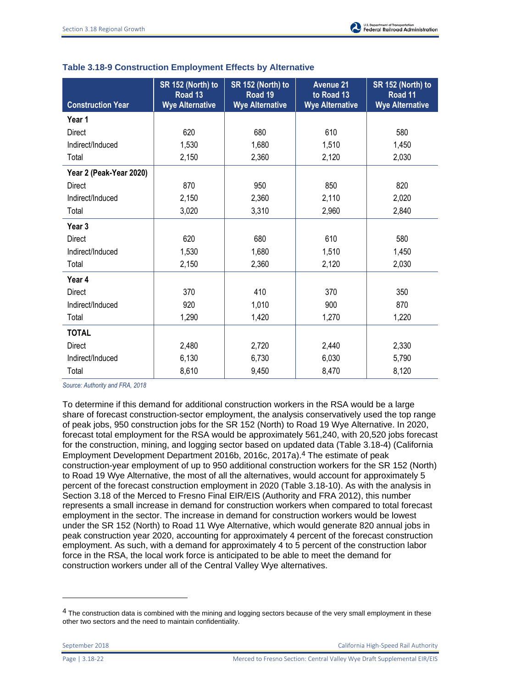| <b>Construction Year</b> | SR 152 (North) to<br>Road 13<br><b>Wye Alternative</b> | SR 152 (North) to<br>Road <sub>19</sub><br><b>Wye Alternative</b> | <b>Avenue 21</b><br>to Road 13<br><b>Wye Alternative</b> | SR 152 (North) to<br>Road 11<br><b>Wye Alternative</b> |
|--------------------------|--------------------------------------------------------|-------------------------------------------------------------------|----------------------------------------------------------|--------------------------------------------------------|
| Year 1                   |                                                        |                                                                   |                                                          |                                                        |
| <b>Direct</b>            | 620                                                    | 680                                                               | 610                                                      | 580                                                    |
| Indirect/Induced         | 1,530                                                  | 1,680                                                             | 1,510                                                    | 1,450                                                  |
| Total                    | 2,150                                                  | 2,360                                                             | 2,120                                                    | 2,030                                                  |
| Year 2 (Peak-Year 2020)  |                                                        |                                                                   |                                                          |                                                        |
| <b>Direct</b>            | 870                                                    | 950                                                               | 850                                                      | 820                                                    |
| Indirect/Induced         | 2,150                                                  | 2,360                                                             | 2,110                                                    | 2,020                                                  |
| Total                    | 3,020                                                  | 3,310                                                             | 2,960                                                    | 2,840                                                  |
| Year <sub>3</sub>        |                                                        |                                                                   |                                                          |                                                        |
| <b>Direct</b>            | 620                                                    | 680                                                               | 610                                                      | 580                                                    |
| Indirect/Induced         | 1,530                                                  | 1,680                                                             | 1,510                                                    | 1,450                                                  |
| Total                    | 2,150                                                  | 2,360                                                             | 2,120                                                    | 2,030                                                  |
| Year 4                   |                                                        |                                                                   |                                                          |                                                        |
| <b>Direct</b>            | 370                                                    | 410                                                               | 370                                                      | 350                                                    |
| Indirect/Induced         | 920                                                    | 1,010                                                             | 900                                                      | 870                                                    |
| Total                    | 1,290                                                  | 1,420                                                             | 1,270                                                    | 1,220                                                  |
| <b>TOTAL</b>             |                                                        |                                                                   |                                                          |                                                        |
| <b>Direct</b>            | 2,480                                                  |                                                                   | 2,440                                                    | 2,330                                                  |
| Indirect/Induced         | 6,130                                                  | 6,730                                                             | 6,030                                                    | 5,790                                                  |
| Total                    | 8,610                                                  | 9,450                                                             | 8,470                                                    | 8,120                                                  |

| Table 3.18-9 Construction Employment Effects by Alternative |  |  |  |
|-------------------------------------------------------------|--|--|--|
|-------------------------------------------------------------|--|--|--|

*Source: Authority and FRA, 2018*

To determine if this demand for additional construction workers in the RSA would be a large share of forecast construction-sector employment, the analysis conservatively used the top range of peak jobs, 950 construction jobs for the SR 152 (North) to Road 19 Wye Alternative. In 2020, forecast total employment for the RSA would be approximately 561,240, with 20,520 jobs forecast for the construction, mining, and logging sector based on updated data (Table 3.18-4) (California Employment Development Department 2016b, 2016c, 2017a).4 The estimate of peak construction-year employment of up to 950 additional construction workers for the SR 152 (North) to Road 19 Wye Alternative, the most of all the alternatives, would account for approximately 5 percent of the forecast construction employment in 2020 (Table 3.18-10). As with the analysis in Section 3.18 of the Merced to Fresno Final EIR/EIS (Authority and FRA 2012), this number represents a small increase in demand for construction workers when compared to total forecast employment in the sector. The increase in demand for construction workers would be lowest under the SR 152 (North) to Road 11 Wye Alternative, which would generate 820 annual jobs in peak construction year 2020, accounting for approximately 4 percent of the forecast construction employment. As such, with a demand for approximately 4 to 5 percent of the construction labor force in the RSA, the local work force is anticipated to be able to meet the demand for construction workers under all of the Central Valley Wye alternatives.

l

<sup>&</sup>lt;sup>4</sup> The construction data is combined with the mining and logging sectors because of the very small employment in these other two sectors and the need to maintain confidentiality.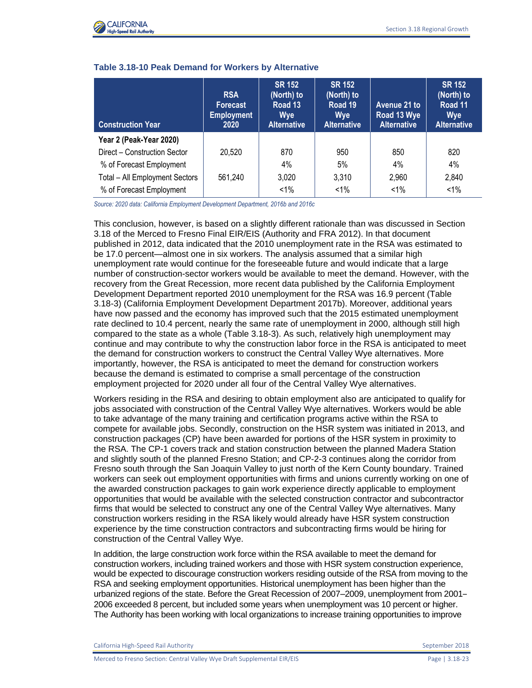

| <b>Construction Year</b>       | <b>RSA</b><br><b>Forecast</b><br><b>Employment</b><br>2020 | <b>SR 152</b><br>(North) to<br>Road 13<br><b>Wye</b><br><b>Alternative</b> | <b>SR 152</b><br>(North) to<br>Road 19<br><b>Wye</b><br><b>Alternative</b> | Avenue 21 to<br>Road 13 Wye<br><b>Alternative</b> | <b>SR 152</b><br>(North) to<br>Road 11<br><b>Wye</b><br><b>Alternative</b> |
|--------------------------------|------------------------------------------------------------|----------------------------------------------------------------------------|----------------------------------------------------------------------------|---------------------------------------------------|----------------------------------------------------------------------------|
| Year 2 (Peak-Year 2020)        |                                                            |                                                                            |                                                                            |                                                   |                                                                            |
| Direct - Construction Sector   | 20,520                                                     | 870                                                                        | 950                                                                        | 850                                               | 820                                                                        |
| % of Forecast Employment       |                                                            | 4%                                                                         | 5%                                                                         | 4%                                                | $4\%$                                                                      |
| Total - All Employment Sectors | 561.240                                                    | 3,020                                                                      | 3,310                                                                      | 2,960                                             | 2,840                                                                      |
| % of Forecast Employment       |                                                            | $< 1\%$                                                                    | $< 1\%$                                                                    | $< 1\%$                                           | $< 1\%$                                                                    |

#### **Table 3.18-10 Peak Demand for Workers by Alternative**

*Source: 2020 data: California Employment Development Department, 2016b and 2016c*

This conclusion, however, is based on a slightly different rationale than was discussed in Section 3.18 of the Merced to Fresno Final EIR/EIS (Authority and FRA 2012). In that document published in 2012, data indicated that the 2010 unemployment rate in the RSA was estimated to be 17.0 percent—almost one in six workers. The analysis assumed that a similar high unemployment rate would continue for the foreseeable future and would indicate that a large number of construction-sector workers would be available to meet the demand. However, with the recovery from the Great Recession, more recent data published by the California Employment Development Department reported 2010 unemployment for the RSA was 16.9 percent (Table 3.18-3) (California Employment Development Department 2017b). Moreover, additional years have now passed and the economy has improved such that the 2015 estimated unemployment rate declined to 10.4 percent, nearly the same rate of unemployment in 2000, although still high compared to the state as a whole (Table 3.18-3). As such, relatively high unemployment may continue and may contribute to why the construction labor force in the RSA is anticipated to meet the demand for construction workers to construct the Central Valley Wye alternatives. More importantly, however, the RSA is anticipated to meet the demand for construction workers because the demand is estimated to comprise a small percentage of the construction employment projected for 2020 under all four of the Central Valley Wye alternatives.

Workers residing in the RSA and desiring to obtain employment also are anticipated to qualify for jobs associated with construction of the Central Valley Wye alternatives. Workers would be able to take advantage of the many training and certification programs active within the RSA to compete for available jobs. Secondly, construction on the HSR system was initiated in 2013, and construction packages (CP) have been awarded for portions of the HSR system in proximity to the RSA. The CP-1 covers track and station construction between the planned Madera Station and slightly south of the planned Fresno Station; and CP-2-3 continues along the corridor from Fresno south through the San Joaquin Valley to just north of the Kern County boundary. Trained workers can seek out employment opportunities with firms and unions currently working on one of the awarded construction packages to gain work experience directly applicable to employment opportunities that would be available with the selected construction contractor and subcontractor firms that would be selected to construct any one of the Central Valley Wye alternatives. Many construction workers residing in the RSA likely would already have HSR system construction experience by the time construction contractors and subcontracting firms would be hiring for construction of the Central Valley Wye.

In addition, the large construction work force within the RSA available to meet the demand for construction workers, including trained workers and those with HSR system construction experience, would be expected to discourage construction workers residing outside of the RSA from moving to the RSA and seeking employment opportunities. Historical unemployment has been higher than the urbanized regions of the state. Before the Great Recession of 2007–2009, unemployment from 2001– 2006 exceeded 8 percent, but included some years when unemployment was 10 percent or higher. The Authority has been working with local organizations to increase training opportunities to improve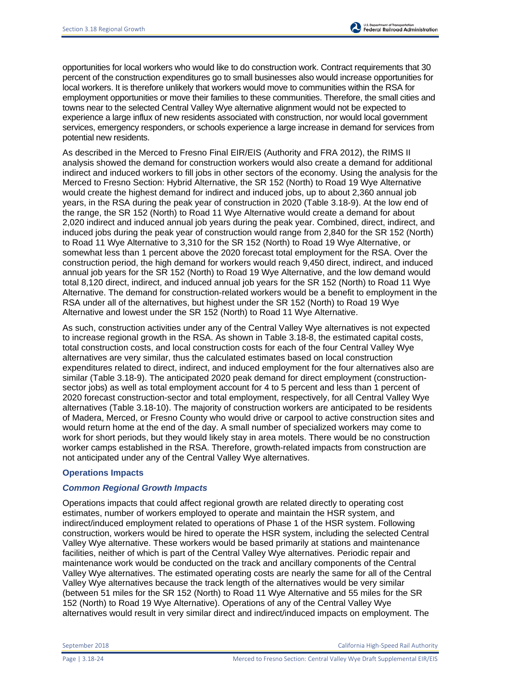opportunities for local workers who would like to do construction work. Contract requirements that 30 percent of the construction expenditures go to small businesses also would increase opportunities for local workers. It is therefore unlikely that workers would move to communities within the RSA for employment opportunities or move their families to these communities. Therefore, the small cities and towns near to the selected Central Valley Wye alternative alignment would not be expected to experience a large influx of new residents associated with construction, nor would local government services, emergency responders, or schools experience a large increase in demand for services from potential new residents.

As described in the Merced to Fresno Final EIR/EIS (Authority and FRA 2012), the RIMS II analysis showed the demand for construction workers would also create a demand for additional indirect and induced workers to fill jobs in other sectors of the economy. Using the analysis for the Merced to Fresno Section: Hybrid Alternative, the SR 152 (North) to Road 19 Wye Alternative would create the highest demand for indirect and induced jobs, up to about 2,360 annual job years, in the RSA during the peak year of construction in 2020 (Table 3.18-9). At the low end of the range, the SR 152 (North) to Road 11 Wye Alternative would create a demand for about 2,020 indirect and induced annual job years during the peak year. Combined, direct, indirect, and induced jobs during the peak year of construction would range from 2,840 for the SR 152 (North) to Road 11 Wye Alternative to 3,310 for the SR 152 (North) to Road 19 Wye Alternative, or somewhat less than 1 percent above the 2020 forecast total employment for the RSA. Over the construction period, the high demand for workers would reach 9,450 direct, indirect, and induced annual job years for the SR 152 (North) to Road 19 Wye Alternative, and the low demand would total 8,120 direct, indirect, and induced annual job years for the SR 152 (North) to Road 11 Wye Alternative. The demand for construction-related workers would be a benefit to employment in the RSA under all of the alternatives, but highest under the SR 152 (North) to Road 19 Wye Alternative and lowest under the SR 152 (North) to Road 11 Wye Alternative.

As such, construction activities under any of the Central Valley Wye alternatives is not expected to increase regional growth in the RSA. As shown in Table 3.18-8, the estimated capital costs, total construction costs, and local construction costs for each of the four Central Valley Wye alternatives are very similar, thus the calculated estimates based on local construction expenditures related to direct, indirect, and induced employment for the four alternatives also are similar (Table 3.18-9). The anticipated 2020 peak demand for direct employment (constructionsector jobs) as well as total employment account for 4 to 5 percent and less than 1 percent of 2020 forecast construction-sector and total employment, respectively, for all Central Valley Wye alternatives (Table 3.18-10). The majority of construction workers are anticipated to be residents of Madera, Merced, or Fresno County who would drive or carpool to active construction sites and would return home at the end of the day. A small number of specialized workers may come to work for short periods, but they would likely stay in area motels. There would be no construction worker camps established in the RSA. Therefore, growth-related impacts from construction are not anticipated under any of the Central Valley Wye alternatives.

### **Operations Impacts**

### *Common Regional Growth Impacts*

Operations impacts that could affect regional growth are related directly to operating cost estimates, number of workers employed to operate and maintain the HSR system, and indirect/induced employment related to operations of Phase 1 of the HSR system. Following construction, workers would be hired to operate the HSR system, including the selected Central Valley Wye alternative. These workers would be based primarily at stations and maintenance facilities, neither of which is part of the Central Valley Wye alternatives. Periodic repair and maintenance work would be conducted on the track and ancillary components of the Central Valley Wye alternatives. The estimated operating costs are nearly the same for all of the Central Valley Wye alternatives because the track length of the alternatives would be very similar (between 51 miles for the SR 152 (North) to Road 11 Wye Alternative and 55 miles for the SR 152 (North) to Road 19 Wye Alternative). Operations of any of the Central Valley Wye alternatives would result in very similar direct and indirect/induced impacts on employment. The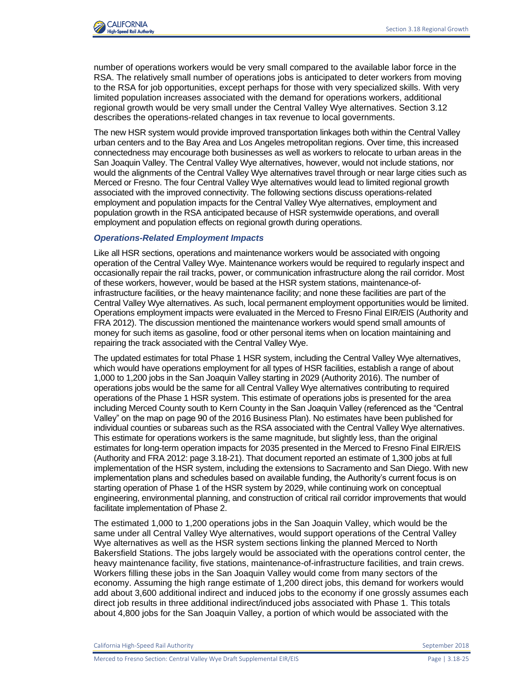

number of operations workers would be very small compared to the available labor force in the RSA. The relatively small number of operations jobs is anticipated to deter workers from moving to the RSA for job opportunities, except perhaps for those with very specialized skills. With very limited population increases associated with the demand for operations workers, additional regional growth would be very small under the Central Valley Wye alternatives. Section 3.12 describes the operations-related changes in tax revenue to local governments.

The new HSR system would provide improved transportation linkages both within the Central Valley urban centers and to the Bay Area and Los Angeles metropolitan regions. Over time, this increased connectedness may encourage both businesses as well as workers to relocate to urban areas in the San Joaquin Valley. The Central Valley Wye alternatives, however, would not include stations, nor would the alignments of the Central Valley Wye alternatives travel through or near large cities such as Merced or Fresno. The four Central Valley Wye alternatives would lead to limited regional growth associated with the improved connectivity. The following sections discuss operations-related employment and population impacts for the Central Valley Wye alternatives, employment and population growth in the RSA anticipated because of HSR systemwide operations, and overall employment and population effects on regional growth during operations.

#### *Operations-Related Employment Impacts*

Like all HSR sections, operations and maintenance workers would be associated with ongoing operation of the Central Valley Wye. Maintenance workers would be required to regularly inspect and occasionally repair the rail tracks, power, or communication infrastructure along the rail corridor. Most of these workers, however, would be based at the HSR system stations, maintenance-ofinfrastructure facilities, or the heavy maintenance facility; and none these facilities are part of the Central Valley Wye alternatives. As such, local permanent employment opportunities would be limited. Operations employment impacts were evaluated in the Merced to Fresno Final EIR/EIS (Authority and FRA 2012). The discussion mentioned the maintenance workers would spend small amounts of money for such items as gasoline, food or other personal items when on location maintaining and repairing the track associated with the Central Valley Wye.

The updated estimates for total Phase 1 HSR system, including the Central Valley Wye alternatives, which would have operations employment for all types of HSR facilities, establish a range of about 1,000 to 1,200 jobs in the San Joaquin Valley starting in 2029 (Authority 2016). The number of operations jobs would be the same for all Central Valley Wye alternatives contributing to required operations of the Phase 1 HSR system. This estimate of operations jobs is presented for the area including Merced County south to Kern County in the San Joaquin Valley (referenced as the "Central Valley" on the map on page 90 of the 2016 Business Plan). No estimates have been published for individual counties or subareas such as the RSA associated with the Central Valley Wye alternatives. This estimate for operations workers is the same magnitude, but slightly less, than the original estimates for long-term operation impacts for 2035 presented in the Merced to Fresno Final EIR/EIS (Authority and FRA 2012: page 3.18-21). That document reported an estimate of 1,300 jobs at full implementation of the HSR system, including the extensions to Sacramento and San Diego. With new implementation plans and schedules based on available funding, the Authority's current focus is on starting operation of Phase 1 of the HSR system by 2029, while continuing work on conceptual engineering, environmental planning, and construction of critical rail corridor improvements that would facilitate implementation of Phase 2.

The estimated 1,000 to 1,200 operations jobs in the San Joaquin Valley, which would be the same under all Central Valley Wye alternatives, would support operations of the Central Valley Wye alternatives as well as the HSR system sections linking the planned Merced to North Bakersfield Stations. The jobs largely would be associated with the operations control center, the heavy maintenance facility, five stations, maintenance-of-infrastructure facilities, and train crews. Workers filling these jobs in the San Joaquin Valley would come from many sectors of the economy. Assuming the high range estimate of 1,200 direct jobs, this demand for workers would add about 3,600 additional indirect and induced jobs to the economy if one grossly assumes each direct job results in three additional indirect/induced jobs associated with Phase 1. This totals about 4,800 jobs for the San Joaquin Valley, a portion of which would be associated with the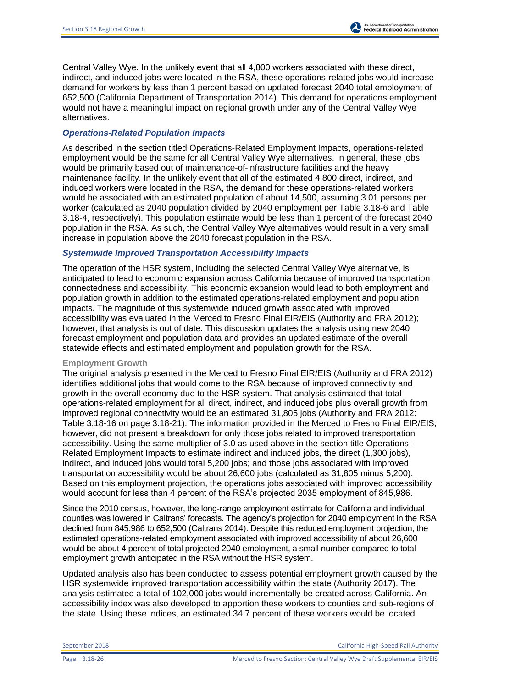Central Valley Wye. In the unlikely event that all 4,800 workers associated with these direct, indirect, and induced jobs were located in the RSA, these operations-related jobs would increase demand for workers by less than 1 percent based on updated forecast 2040 total employment of 652,500 (California Department of Transportation 2014). This demand for operations employment would not have a meaningful impact on regional growth under any of the Central Valley Wye alternatives.

### *Operations-Related Population Impacts*

As described in the section titled Operations-Related Employment Impacts, operations-related employment would be the same for all Central Valley Wye alternatives. In general, these jobs would be primarily based out of maintenance-of-infrastructure facilities and the heavy maintenance facility. In the unlikely event that all of the estimated 4,800 direct, indirect, and induced workers were located in the RSA, the demand for these operations-related workers would be associated with an estimated population of about 14,500, assuming 3.01 persons per worker (calculated as 2040 population divided by 2040 employment per Table 3.18-6 and Table 3.18-4, respectively). This population estimate would be less than 1 percent of the forecast 2040 population in the RSA. As such, the Central Valley Wye alternatives would result in a very small increase in population above the 2040 forecast population in the RSA.

#### *Systemwide Improved Transportation Accessibility Impacts*

The operation of the HSR system, including the selected Central Valley Wye alternative, is anticipated to lead to economic expansion across California because of improved transportation connectedness and accessibility. This economic expansion would lead to both employment and population growth in addition to the estimated operations-related employment and population impacts. The magnitude of this systemwide induced growth associated with improved accessibility was evaluated in the Merced to Fresno Final EIR/EIS (Authority and FRA 2012); however, that analysis is out of date. This discussion updates the analysis using new 2040 forecast employment and population data and provides an updated estimate of the overall statewide effects and estimated employment and population growth for the RSA.

#### **Employment Growth**

The original analysis presented in the Merced to Fresno Final EIR/EIS (Authority and FRA 2012) identifies additional jobs that would come to the RSA because of improved connectivity and growth in the overall economy due to the HSR system. That analysis estimated that total operations-related employment for all direct, indirect, and induced jobs plus overall growth from improved regional connectivity would be an estimated 31,805 jobs (Authority and FRA 2012: Table 3.18-16 on page 3.18-21). The information provided in the Merced to Fresno Final EIR/EIS, however, did not present a breakdown for only those jobs related to improved transportation accessibility. Using the same multiplier of 3.0 as used above in the section title Operations-Related Employment Impacts to estimate indirect and induced jobs, the direct (1,300 jobs), indirect, and induced jobs would total 5,200 jobs; and those jobs associated with improved transportation accessibility would be about 26,600 jobs (calculated as 31,805 minus 5,200). Based on this employment projection, the operations jobs associated with improved accessibility would account for less than 4 percent of the RSA's projected 2035 employment of 845,986.

Since the 2010 census, however, the long-range employment estimate for California and individual counties was lowered in Caltrans' forecasts. The agency's projection for 2040 employment in the RSA declined from 845,986 to 652,500 (Caltrans 2014). Despite this reduced employment projection, the estimated operations-related employment associated with improved accessibility of about 26,600 would be about 4 percent of total projected 2040 employment, a small number compared to total employment growth anticipated in the RSA without the HSR system.

Updated analysis also has been conducted to assess potential employment growth caused by the HSR systemwide improved transportation accessibility within the state (Authority 2017). The analysis estimated a total of 102,000 jobs would incrementally be created across California. An accessibility index was also developed to apportion these workers to counties and sub-regions of the state. Using these indices, an estimated 34.7 percent of these workers would be located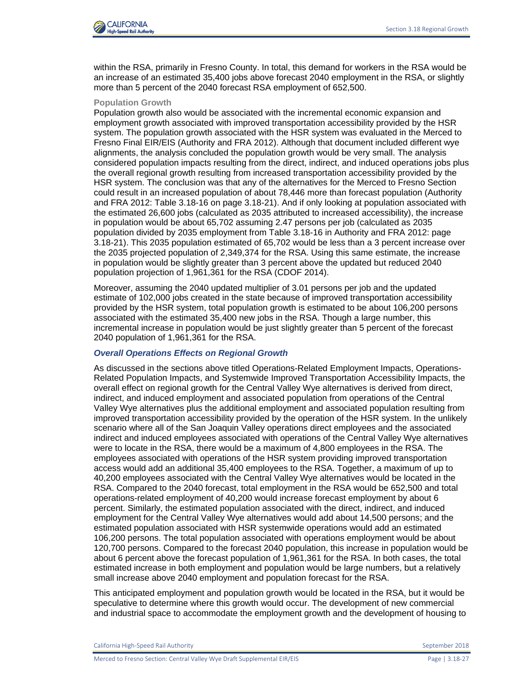

within the RSA, primarily in Fresno County. In total, this demand for workers in the RSA would be an increase of an estimated 35,400 jobs above forecast 2040 employment in the RSA, or slightly more than 5 percent of the 2040 forecast RSA employment of 652,500.

#### **Population Growth**

Population growth also would be associated with the incremental economic expansion and employment growth associated with improved transportation accessibility provided by the HSR system. The population growth associated with the HSR system was evaluated in the Merced to Fresno Final EIR/EIS (Authority and FRA 2012). Although that document included different wye alignments, the analysis concluded the population growth would be very small. The analysis considered population impacts resulting from the direct, indirect, and induced operations jobs plus the overall regional growth resulting from increased transportation accessibility provided by the HSR system. The conclusion was that any of the alternatives for the Merced to Fresno Section could result in an increased population of about 78,446 more than forecast population (Authority and FRA 2012: Table 3.18-16 on page 3.18-21). And if only looking at population associated with the estimated 26,600 jobs (calculated as 2035 attributed to increased accessibility), the increase in population would be about 65,702 assuming 2.47 persons per job (calculated as 2035 population divided by 2035 employment from Table 3.18-16 in Authority and FRA 2012: page 3.18-21). This 2035 population estimated of 65,702 would be less than a 3 percent increase over the 2035 projected population of 2,349,374 for the RSA. Using this same estimate, the increase in population would be slightly greater than 3 percent above the updated but reduced 2040 population projection of 1,961,361 for the RSA (CDOF 2014).

Moreover, assuming the 2040 updated multiplier of 3.01 persons per job and the updated estimate of 102,000 jobs created in the state because of improved transportation accessibility provided by the HSR system, total population growth is estimated to be about 106,200 persons associated with the estimated 35,400 new jobs in the RSA. Though a large number, this incremental increase in population would be just slightly greater than 5 percent of the forecast 2040 population of 1,961,361 for the RSA.

### *Overall Operations Effects on Regional Growth*

As discussed in the sections above titled Operations-Related Employment Impacts, Operations-Related Population Impacts, and Systemwide Improved Transportation Accessibility Impacts, the overall effect on regional growth for the Central Valley Wye alternatives is derived from direct, indirect, and induced employment and associated population from operations of the Central Valley Wye alternatives plus the additional employment and associated population resulting from improved transportation accessibility provided by the operation of the HSR system. In the unlikely scenario where all of the San Joaquin Valley operations direct employees and the associated indirect and induced employees associated with operations of the Central Valley Wye alternatives were to locate in the RSA, there would be a maximum of 4,800 employees in the RSA. The employees associated with operations of the HSR system providing improved transportation access would add an additional 35,400 employees to the RSA. Together, a maximum of up to 40,200 employees associated with the Central Valley Wye alternatives would be located in the RSA. Compared to the 2040 forecast, total employment in the RSA would be 652,500 and total operations-related employment of 40,200 would increase forecast employment by about 6 percent. Similarly, the estimated population associated with the direct, indirect, and induced employment for the Central Valley Wye alternatives would add about 14,500 persons; and the estimated population associated with HSR systemwide operations would add an estimated 106,200 persons. The total population associated with operations employment would be about 120,700 persons. Compared to the forecast 2040 population, this increase in population would be about 6 percent above the forecast population of 1,961,361 for the RSA. In both cases, the total estimated increase in both employment and population would be large numbers, but a relatively small increase above 2040 employment and population forecast for the RSA.

This anticipated employment and population growth would be located in the RSA, but it would be speculative to determine where this growth would occur. The development of new commercial and industrial space to accommodate the employment growth and the development of housing to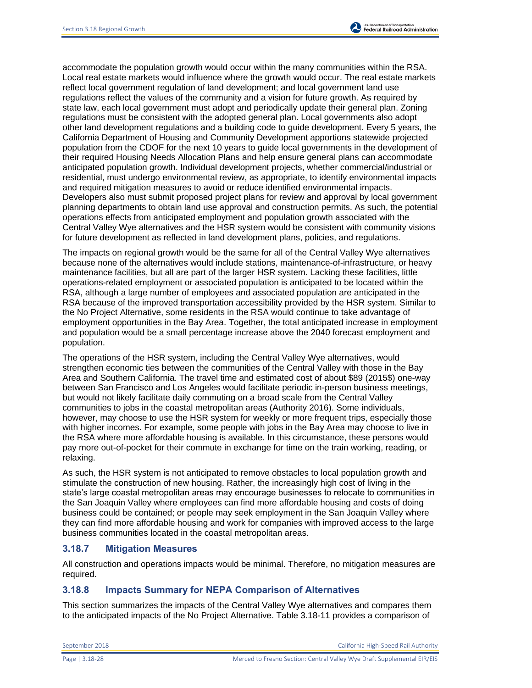

accommodate the population growth would occur within the many communities within the RSA. Local real estate markets would influence where the growth would occur. The real estate markets reflect local government regulation of land development; and local government land use regulations reflect the values of the community and a vision for future growth. As required by state law, each local government must adopt and periodically update their general plan. Zoning regulations must be consistent with the adopted general plan. Local governments also adopt other land development regulations and a building code to guide development. Every 5 years, the California Department of Housing and Community Development apportions statewide projected population from the CDOF for the next 10 years to guide local governments in the development of their required Housing Needs Allocation Plans and help ensure general plans can accommodate anticipated population growth. Individual development projects, whether commercial/industrial or residential, must undergo environmental review, as appropriate, to identify environmental impacts and required mitigation measures to avoid or reduce identified environmental impacts. Developers also must submit proposed project plans for review and approval by local government planning departments to obtain land use approval and construction permits. As such, the potential operations effects from anticipated employment and population growth associated with the Central Valley Wye alternatives and the HSR system would be consistent with community visions for future development as reflected in land development plans, policies, and regulations.

The impacts on regional growth would be the same for all of the Central Valley Wye alternatives because none of the alternatives would include stations, maintenance-of-infrastructure, or heavy maintenance facilities, but all are part of the larger HSR system. Lacking these facilities, little operations-related employment or associated population is anticipated to be located within the RSA, although a large number of employees and associated population are anticipated in the RSA because of the improved transportation accessibility provided by the HSR system. Similar to the No Project Alternative, some residents in the RSA would continue to take advantage of employment opportunities in the Bay Area. Together, the total anticipated increase in employment and population would be a small percentage increase above the 2040 forecast employment and population.

The operations of the HSR system, including the Central Valley Wye alternatives, would strengthen economic ties between the communities of the Central Valley with those in the Bay Area and Southern California. The travel time and estimated cost of about \$89 (2015\$) one-way between San Francisco and Los Angeles would facilitate periodic in-person business meetings, but would not likely facilitate daily commuting on a broad scale from the Central Valley communities to jobs in the coastal metropolitan areas (Authority 2016). Some individuals, however, may choose to use the HSR system for weekly or more frequent trips, especially those with higher incomes. For example, some people with jobs in the Bay Area may choose to live in the RSA where more affordable housing is available. In this circumstance, these persons would pay more out-of-pocket for their commute in exchange for time on the train working, reading, or relaxing.

As such, the HSR system is not anticipated to remove obstacles to local population growth and stimulate the construction of new housing. Rather, the increasingly high cost of living in the state's large coastal metropolitan areas may encourage businesses to relocate to communities in the San Joaquin Valley where employees can find more affordable housing and costs of doing business could be contained; or people may seek employment in the San Joaquin Valley where they can find more affordable housing and work for companies with improved access to the large business communities located in the coastal metropolitan areas.

## **3.18.7 Mitigation Measures**

All construction and operations impacts would be minimal. Therefore, no mitigation measures are required.

## **3.18.8 Impacts Summary for NEPA Comparison of Alternatives**

This section summarizes the impacts of the Central Valley Wye alternatives and compares them to the anticipated impacts of the No Project Alternative. Table 3.18-11 provides a comparison of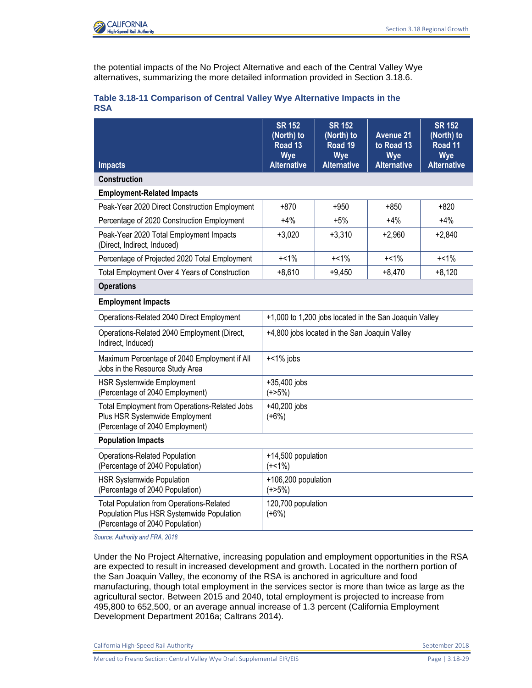

the potential impacts of the No Project Alternative and each of the Central Valley Wye alternatives, summarizing the more detailed information provided in Section 3.18.6.

|            |  | Table 3.18-11 Comparison of Central Valley Wye Alternative Impacts in the |
|------------|--|---------------------------------------------------------------------------|
| <b>RSA</b> |  |                                                                           |

|                                                                                                                                 | <b>SR 152</b><br>(North) to<br>Road <sub>13</sub><br>Wye | <b>SR 152</b><br>(North) to<br>Road 19<br>Wye | <b>Avenue 21</b><br>to Road 13<br>Wye | <b>SR 152</b><br>(North) to<br>Road 11<br>Wye |
|---------------------------------------------------------------------------------------------------------------------------------|----------------------------------------------------------|-----------------------------------------------|---------------------------------------|-----------------------------------------------|
| <b>Impacts</b>                                                                                                                  | <b>Alternative</b>                                       | <b>Alternative</b>                            | <b>Alternative</b>                    | <b>Alternative</b>                            |
| <b>Construction</b>                                                                                                             |                                                          |                                               |                                       |                                               |
| <b>Employment-Related Impacts</b>                                                                                               |                                                          |                                               |                                       |                                               |
| Peak-Year 2020 Direct Construction Employment                                                                                   | $+870$                                                   | $+950$                                        | $+850$                                | $+820$                                        |
| Percentage of 2020 Construction Employment                                                                                      | $+4%$                                                    | $+5%$                                         | $+4%$                                 | $+4%$                                         |
| Peak-Year 2020 Total Employment Impacts<br>(Direct, Indirect, Induced)                                                          | $+3,020$                                                 | $+3,310$                                      | $+2,960$                              | $+2,840$                                      |
| Percentage of Projected 2020 Total Employment                                                                                   | $+<1\%$                                                  | $+<1\%$                                       | $+<1\%$                               | $+<1\%$                                       |
| Total Employment Over 4 Years of Construction                                                                                   | $+8,610$                                                 | $+9,450$                                      | $+8,470$                              | $+8,120$                                      |
| <b>Operations</b>                                                                                                               |                                                          |                                               |                                       |                                               |
| <b>Employment Impacts</b>                                                                                                       |                                                          |                                               |                                       |                                               |
| Operations-Related 2040 Direct Employment                                                                                       | +1,000 to 1,200 jobs located in the San Joaquin Valley   |                                               |                                       |                                               |
| Operations-Related 2040 Employment (Direct,<br>Indirect, Induced)                                                               | +4,800 jobs located in the San Joaquin Valley            |                                               |                                       |                                               |
| Maximum Percentage of 2040 Employment if All<br>Jobs in the Resource Study Area                                                 | $+<1\%$ jobs                                             |                                               |                                       |                                               |
| <b>HSR Systemwide Employment</b><br>(Percentage of 2040 Employment)                                                             | +35,400 jobs<br>$(+25%)$                                 |                                               |                                       |                                               |
| <b>Total Employment from Operations-Related Jobs</b><br>Plus HSR Systemwide Employment<br>(Percentage of 2040 Employment)       | +40,200 jobs<br>$(+6%)$                                  |                                               |                                       |                                               |
| <b>Population Impacts</b>                                                                                                       |                                                          |                                               |                                       |                                               |
| Operations-Related Population<br>(Percentage of 2040 Population)                                                                | +14,500 population<br>$(+<1\%)$                          |                                               |                                       |                                               |
| <b>HSR Systemwide Population</b><br>(Percentage of 2040 Population)                                                             | +106,200 population<br>$(+25%)$                          |                                               |                                       |                                               |
| <b>Total Population from Operations-Related</b><br>Population Plus HSR Systemwide Population<br>(Percentage of 2040 Population) | 120,700 population<br>$(+6%)$                            |                                               |                                       |                                               |

*Source: Authority and FRA, 2018*

Under the No Project Alternative, increasing population and employment opportunities in the RSA are expected to result in increased development and growth. Located in the northern portion of the San Joaquin Valley, the economy of the RSA is anchored in agriculture and food manufacturing, though total employment in the services sector is more than twice as large as the agricultural sector. Between 2015 and 2040, total employment is projected to increase from 495,800 to 652,500, or an average annual increase of 1.3 percent (California Employment Development Department 2016a; Caltrans 2014).

California High-Speed Rail Authority September 2018